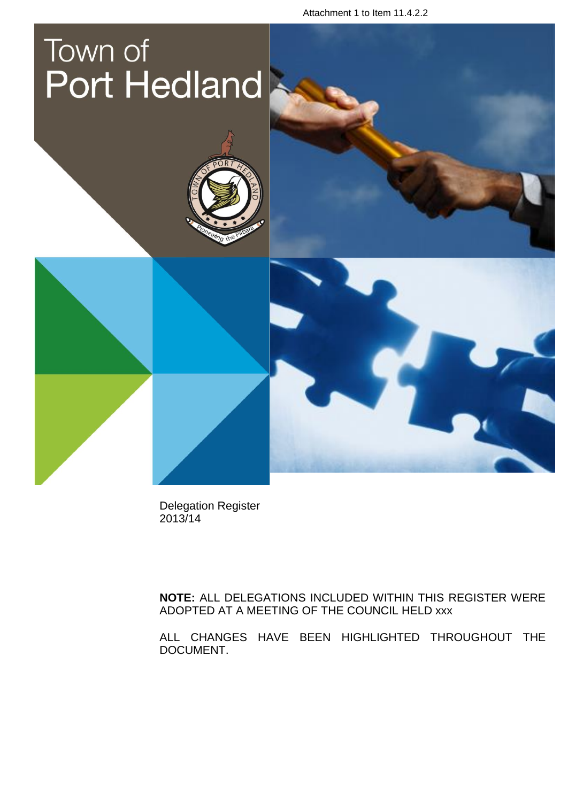Attachment 1 to Item 11.4.2.2

# Town of **Port Hedland**

Delegation Register 2013/14

**NOTE:** ALL DELEGATIONS INCLUDED WITHIN THIS REGISTER WERE ADOPTED AT A MEETING OF THE COUNCIL HELD xxx

ALL CHANGES HAVE BEEN HIGHLIGHTED THROUGHOUT THE DOCUMENT.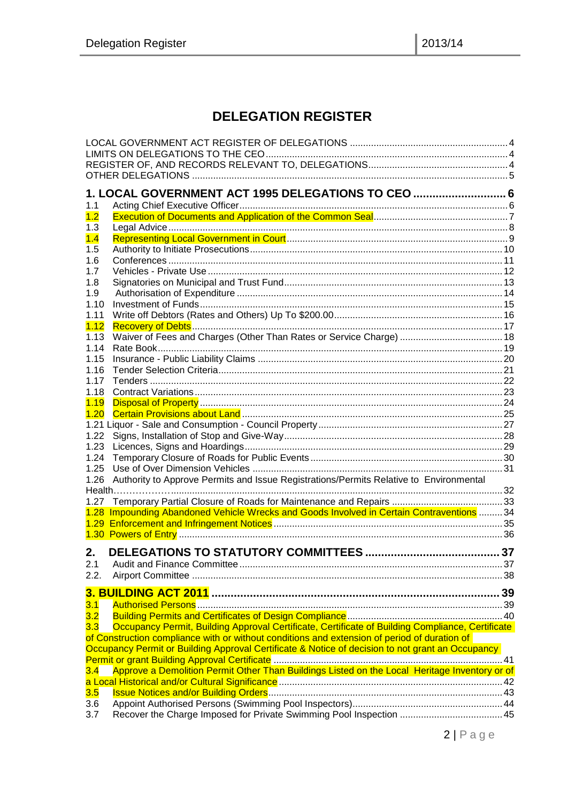# **DELEGATION REGISTER**

|            | 1. LOCAL GOVERNMENT ACT 1995 DELEGATIONS TO CEO  6                                                                                                                                               |    |
|------------|--------------------------------------------------------------------------------------------------------------------------------------------------------------------------------------------------|----|
| 1.1        |                                                                                                                                                                                                  |    |
| 1.2        |                                                                                                                                                                                                  |    |
| 1.3        |                                                                                                                                                                                                  |    |
| 1.4        |                                                                                                                                                                                                  |    |
| 1.5<br>1.6 |                                                                                                                                                                                                  |    |
| 1.7        |                                                                                                                                                                                                  |    |
| 1.8        |                                                                                                                                                                                                  |    |
| 1.9        |                                                                                                                                                                                                  |    |
| 1.10       |                                                                                                                                                                                                  |    |
| 1.11       |                                                                                                                                                                                                  |    |
| 1.12       |                                                                                                                                                                                                  |    |
| 1.13       |                                                                                                                                                                                                  |    |
| 1.14       |                                                                                                                                                                                                  |    |
| 1.15       |                                                                                                                                                                                                  |    |
| 1.16       |                                                                                                                                                                                                  |    |
| 1.17       |                                                                                                                                                                                                  |    |
| 1.18       |                                                                                                                                                                                                  |    |
| 1.19       |                                                                                                                                                                                                  |    |
| 1.20       |                                                                                                                                                                                                  |    |
| 1.22       |                                                                                                                                                                                                  |    |
| 1.23       |                                                                                                                                                                                                  |    |
| 1.24       |                                                                                                                                                                                                  |    |
| 1.25       |                                                                                                                                                                                                  |    |
| 1.26       | Authority to Approve Permits and Issue Registrations/Permits Relative to Environmental                                                                                                           |    |
|            |                                                                                                                                                                                                  |    |
| 1.27       |                                                                                                                                                                                                  |    |
|            | 1.28 Impounding Abandoned Vehicle Wrecks and Goods Involved in Certain Contraventions  34                                                                                                        |    |
|            |                                                                                                                                                                                                  |    |
|            |                                                                                                                                                                                                  |    |
| 2.         |                                                                                                                                                                                                  | 37 |
|            |                                                                                                                                                                                                  |    |
| 2.2.       |                                                                                                                                                                                                  |    |
|            |                                                                                                                                                                                                  |    |
|            |                                                                                                                                                                                                  |    |
| 3.1        |                                                                                                                                                                                                  |    |
| 3.2        |                                                                                                                                                                                                  |    |
| 3.3        | Occupancy Permit, Building Approval Certificate, Certificate of Building Compliance, Certificate                                                                                                 |    |
|            | of Construction compliance with or without conditions and extension of period of duration of<br>Occupancy Permit or Building Approval Certificate & Notice of decision to not grant an Occupancy |    |
|            |                                                                                                                                                                                                  |    |
| 3.4        | Approve a Demolition Permit Other Than Buildings Listed on the Local Heritage Inventory or of                                                                                                    |    |
|            |                                                                                                                                                                                                  |    |
| 3.5        |                                                                                                                                                                                                  |    |
| 3.6        |                                                                                                                                                                                                  |    |
| 3.7        |                                                                                                                                                                                                  |    |
|            |                                                                                                                                                                                                  |    |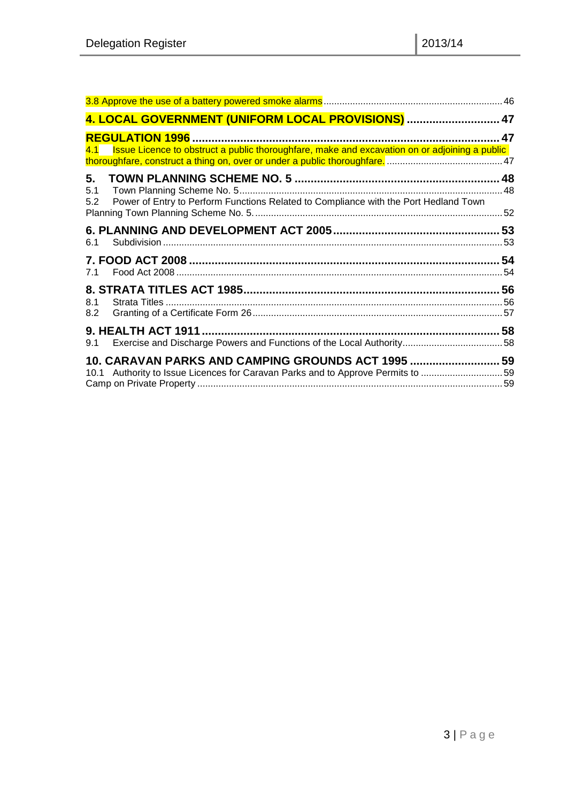|                  | 4. LOCAL GOVERNMENT (UNIFORM LOCAL PROVISIONS)  47                                                |  |
|------------------|---------------------------------------------------------------------------------------------------|--|
|                  |                                                                                                   |  |
|                  | 4.1 Issue Licence to obstruct a public thoroughfare, make and excavation on or adjoining a public |  |
| 5.<br>5.1<br>5.2 | Power of Entry to Perform Functions Related to Compliance with the Port Hedland Town              |  |
| 6.1              |                                                                                                   |  |
|                  |                                                                                                   |  |
| 7.1              |                                                                                                   |  |
|                  |                                                                                                   |  |
| 8.1<br>8.2       |                                                                                                   |  |
|                  |                                                                                                   |  |
| 9.1              |                                                                                                   |  |
|                  | 10. CARAVAN PARKS AND CAMPING GROUNDS ACT 1995  59                                                |  |
|                  | 10.1 Authority to Issue Licences for Caravan Parks and to Approve Permits to 59                   |  |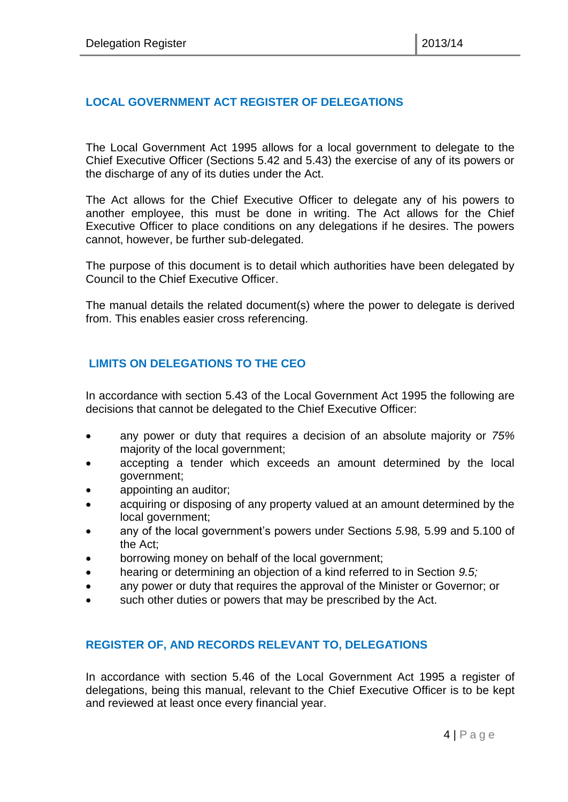#### <span id="page-3-0"></span>**LOCAL GOVERNMENT ACT REGISTER OF DELEGATIONS**

The Local Government Act 1995 allows for a local government to delegate to the Chief Executive Officer (Sections 5.42 and 5.43) the exercise of any of its powers or the discharge of any of its duties under the Act.

The Act allows for the Chief Executive Officer to delegate any of his powers to another employee, this must be done in writing. The Act allows for the Chief Executive Officer to place conditions on any delegations if he desires. The powers cannot, however, be further sub-delegated.

The purpose of this document is to detail which authorities have been delegated by Council to the Chief Executive Officer.

The manual details the related document(s) where the power to delegate is derived from. This enables easier cross referencing.

#### <span id="page-3-1"></span>**LIMITS ON DELEGATIONS TO THE CEO**

In accordance with section 5.43 of the Local Government Act 1995 the following are decisions that cannot be delegated to the Chief Executive Officer:

- any power or duty that requires a decision of an absolute majority or *75%* majority of the local government;
- accepting a tender which exceeds an amount determined by the local government;
- appointing an auditor;
- acquiring or disposing of any property valued at an amount determined by the local government;
- any of the local government's powers under Sections *5.*98*,* 5.99 and 5.100 of the Act;
- borrowing money on behalf of the local government;
- hearing or determining an objection of a kind referred to in Section *9.5;*
- any power or duty that requires the approval of the Minister or Governor; or
- such other duties or powers that may be prescribed by the Act.

#### <span id="page-3-2"></span>**REGISTER OF, AND RECORDS RELEVANT TO, DELEGATIONS**

In accordance with section 5.46 of the Local Government Act 1995 a register of delegations, being this manual, relevant to the Chief Executive Officer is to be kept and reviewed at least once every financial year.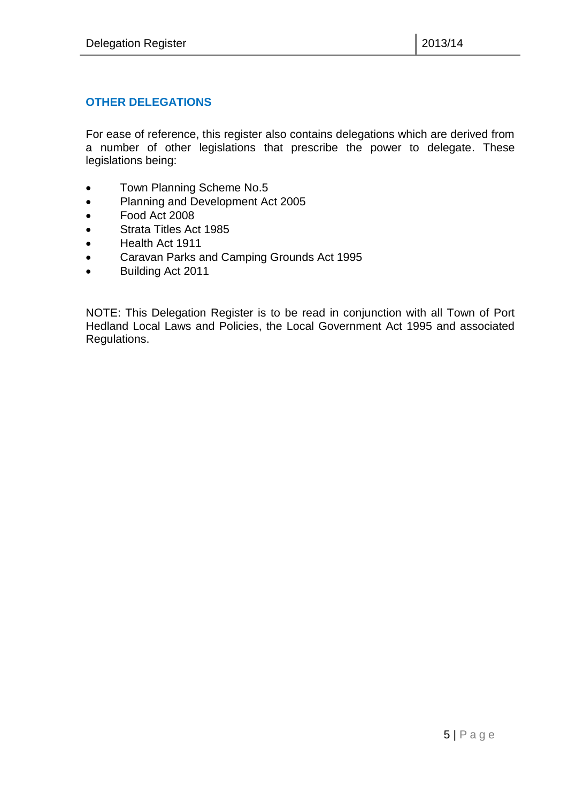#### <span id="page-4-0"></span>**OTHER DELEGATIONS**

For ease of reference, this register also contains delegations which are derived from a number of other legislations that prescribe the power to delegate. These legislations being:

- Town Planning Scheme No.5
- Planning and Development Act 2005
- Food Act 2008
- Strata Titles Act 1985
- Health Act 1911
- Caravan Parks and Camping Grounds Act 1995
- Building Act 2011

NOTE: This Delegation Register is to be read in conjunction with all Town of Port Hedland Local Laws and Policies, the Local Government Act 1995 and associated Regulations.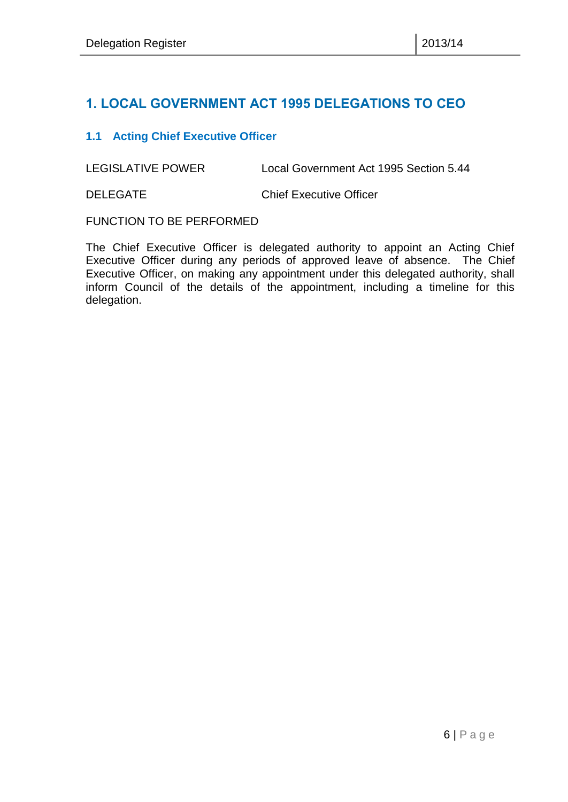# <span id="page-5-0"></span>**1. LOCAL GOVERNMENT ACT 1995 DELEGATIONS TO CEO**

#### <span id="page-5-1"></span>**1.1 Acting Chief Executive Officer**

LEGISLATIVE POWER Local Government Act 1995 Section 5.44

DELEGATE Chief Executive Officer

FUNCTION TO BE PERFORMED

The Chief Executive Officer is delegated authority to appoint an Acting Chief Executive Officer during any periods of approved leave of absence. The Chief Executive Officer, on making any appointment under this delegated authority, shall inform Council of the details of the appointment, including a timeline for this delegation.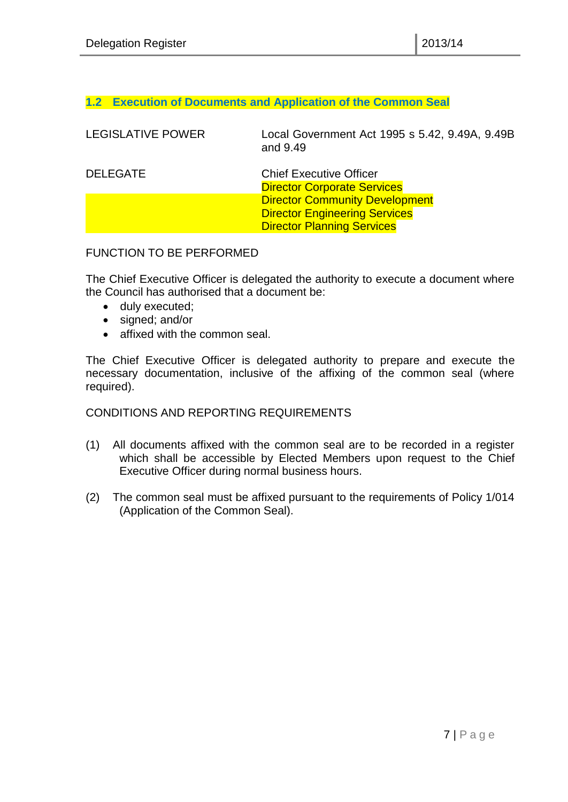#### <span id="page-6-0"></span>**1.2 Execution of Documents and Application of the Common Seal**

| <b>LEGISLATIVE POWER</b> | Local Government Act 1995 s 5.42, 9.49A, 9.49B<br>and 9.49           |
|--------------------------|----------------------------------------------------------------------|
| <b>DELEGATE</b>          | <b>Chief Executive Officer</b><br><b>Director Corporate Services</b> |
|                          | <b>Director Community Development</b>                                |
|                          | <b>Director Engineering Services</b>                                 |
|                          | <b>Director Planning Services</b>                                    |

#### FUNCTION TO BE PERFORMED

The Chief Executive Officer is delegated the authority to execute a document where the Council has authorised that a document be:

- duly executed;
- signed; and/or
- affixed with the common seal.

The Chief Executive Officer is delegated authority to prepare and execute the necessary documentation, inclusive of the affixing of the common seal (where required).

#### CONDITIONS AND REPORTING REQUIREMENTS

- (1) All documents affixed with the common seal are to be recorded in a register which shall be accessible by Elected Members upon request to the Chief Executive Officer during normal business hours.
- (2) The common seal must be affixed pursuant to the requirements of Policy 1/014 (Application of the Common Seal).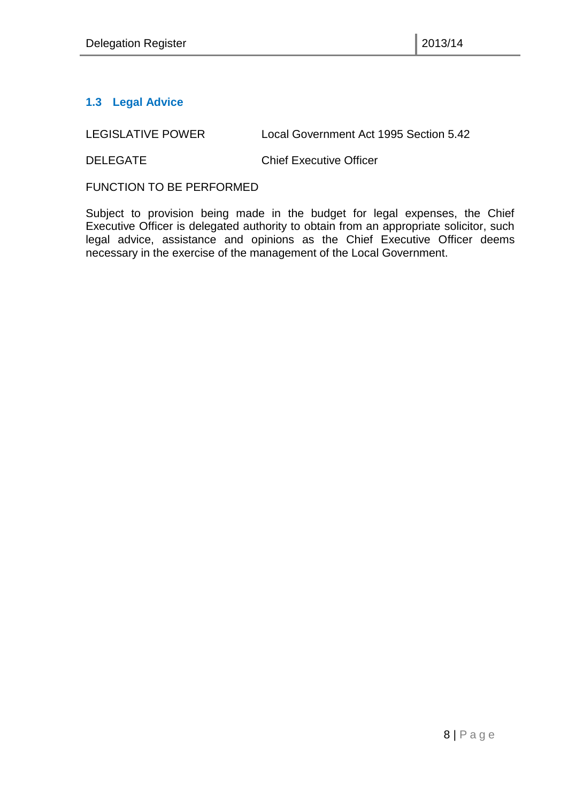# <span id="page-7-0"></span>**1.3 Legal Advice**

LEGISLATIVE POWER Local Government Act 1995 Section 5.42

DELEGATE Chief Executive Officer

FUNCTION TO BE PERFORMED

Subject to provision being made in the budget for legal expenses, the Chief Executive Officer is delegated authority to obtain from an appropriate solicitor, such legal advice, assistance and opinions as the Chief Executive Officer deems necessary in the exercise of the management of the Local Government.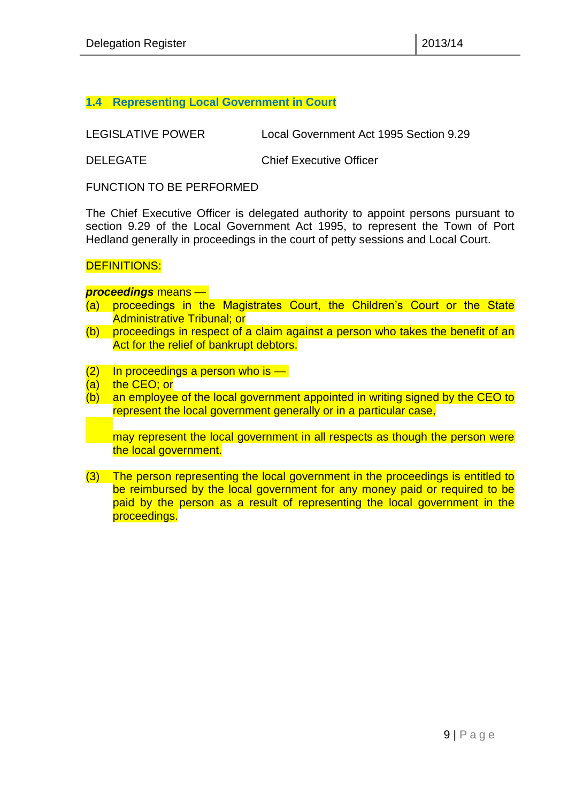#### <span id="page-8-0"></span>**1.4 Representing Local Government in Court**

LEGISLATIVE POWER Local Government Act 1995 Section 9.29

DELEGATE Chief Executive Officer

FUNCTION TO BE PERFORMED

The Chief Executive Officer is delegated authority to appoint persons pursuant to section 9.29 of the Local Government Act 1995, to represent the Town of Port Hedland generally in proceedings in the court of petty sessions and Local Court.

#### DEFINITIONS:

#### *proceedings* means —

- (a) proceedings in the Magistrates Court, the Children's Court or the State Administrative Tribunal; or
- (b) proceedings in respect of a claim against a person who takes the benefit of an Act for the relief of bankrupt debtors.
- $(2)$  In proceedings a person who is —
- (a) the CEO; or
- (b) an employee of the local government appointed in writing signed by the CEO to represent the local government generally or in a particular case,

may represent the local government in all respects as though the person were the local government.

(3) The person representing the local government in the proceedings is entitled to be reimbursed by the local government for any money paid or required to be paid by the person as a result of representing the local government in the proceedings.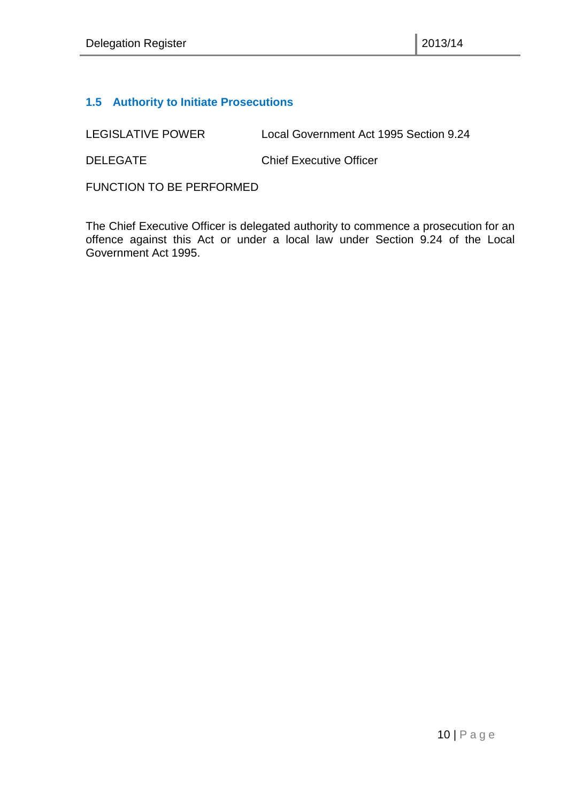#### <span id="page-9-0"></span>**1.5 Authority to Initiate Prosecutions**

LEGISLATIVE POWER Local Government Act 1995 Section 9.24

DELEGATE Chief Executive Officer

FUNCTION TO BE PERFORMED

The Chief Executive Officer is delegated authority to commence a prosecution for an offence against this Act or under a local law under Section 9.24 of the Local Government Act 1995.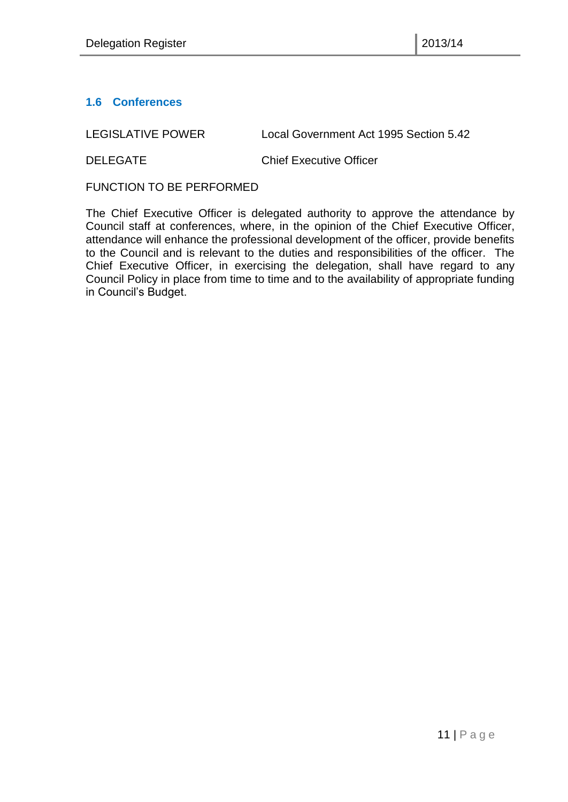#### <span id="page-10-0"></span>**1.6 Conferences**

LEGISLATIVE POWER Local Government Act 1995 Section 5.42

DELEGATE Chief Executive Officer

FUNCTION TO BE PERFORMED

The Chief Executive Officer is delegated authority to approve the attendance by Council staff at conferences, where, in the opinion of the Chief Executive Officer, attendance will enhance the professional development of the officer, provide benefits to the Council and is relevant to the duties and responsibilities of the officer. The Chief Executive Officer, in exercising the delegation, shall have regard to any Council Policy in place from time to time and to the availability of appropriate funding in Council's Budget.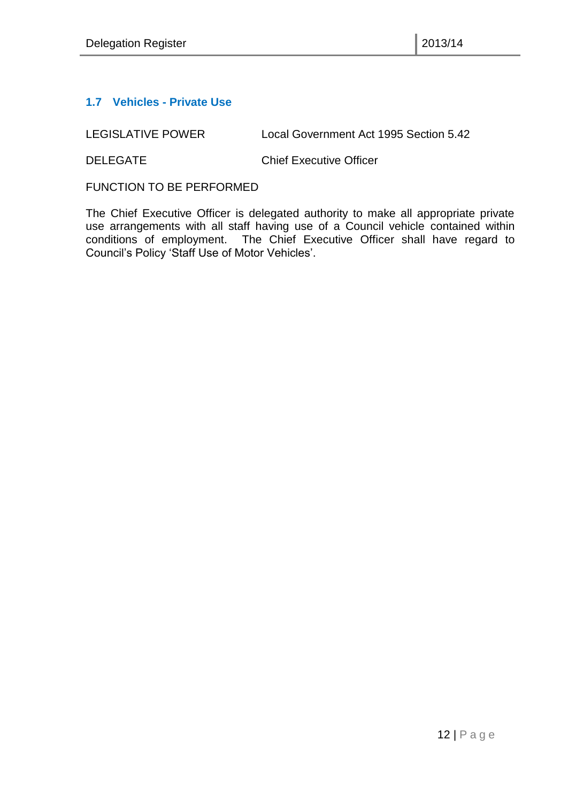#### <span id="page-11-0"></span>**1.7 Vehicles - Private Use**

LEGISLATIVE POWER Local Government Act 1995 Section 5.42

DELEGATE Chief Executive Officer

FUNCTION TO BE PERFORMED

The Chief Executive Officer is delegated authority to make all appropriate private use arrangements with all staff having use of a Council vehicle contained within conditions of employment. The Chief Executive Officer shall have regard to Council's Policy 'Staff Use of Motor Vehicles'.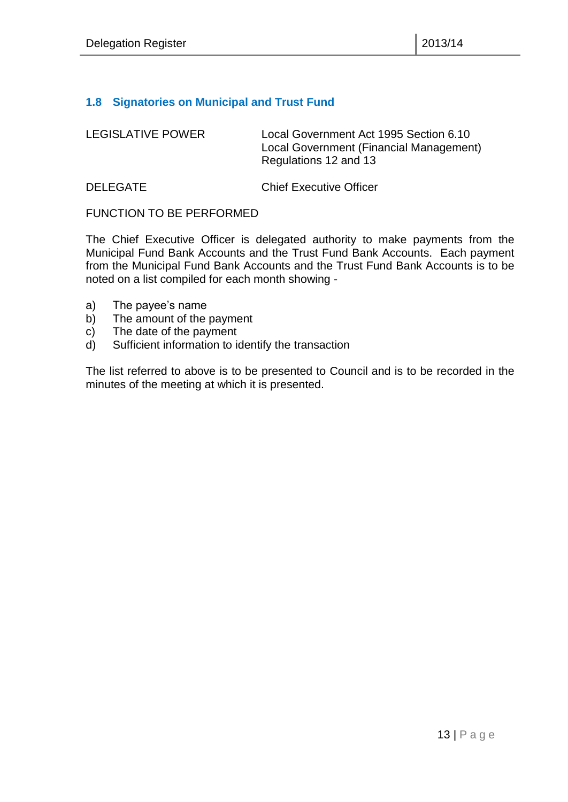#### <span id="page-12-0"></span>**1.8 Signatories on Municipal and Trust Fund**

| <b>LEGISLATIVE POWER</b> | Local Government Act 1995 Section 6.10<br>Local Government (Financial Management)<br>Regulations 12 and 13 |
|--------------------------|------------------------------------------------------------------------------------------------------------|
|                          |                                                                                                            |

DELEGATE Chief Executive Officer

#### FUNCTION TO BE PERFORMED

The Chief Executive Officer is delegated authority to make payments from the Municipal Fund Bank Accounts and the Trust Fund Bank Accounts. Each payment from the Municipal Fund Bank Accounts and the Trust Fund Bank Accounts is to be noted on a list compiled for each month showing -

- a) The payee's name
- b) The amount of the payment
- c) The date of the payment
- d) Sufficient information to identify the transaction

The list referred to above is to be presented to Council and is to be recorded in the minutes of the meeting at which it is presented.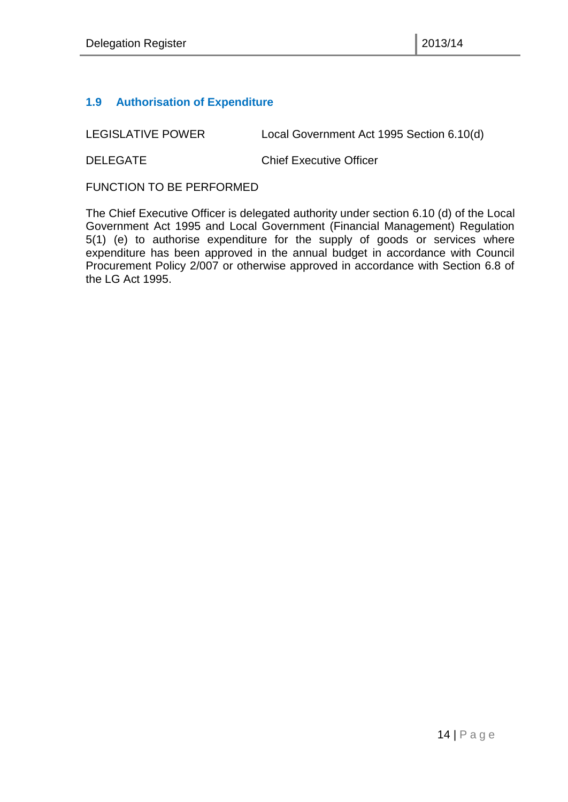#### <span id="page-13-0"></span>**1.9 Authorisation of Expenditure**

LEGISLATIVE POWER Local Government Act 1995 Section 6.10(d)

DELEGATE Chief Executive Officer

FUNCTION TO BE PERFORMED

The Chief Executive Officer is delegated authority under section 6.10 (d) of the Local Government Act 1995 and Local Government (Financial Management) Regulation 5(1) (e) to authorise expenditure for the supply of goods or services where expenditure has been approved in the annual budget in accordance with Council Procurement Policy 2/007 or otherwise approved in accordance with Section 6.8 of the LG Act 1995.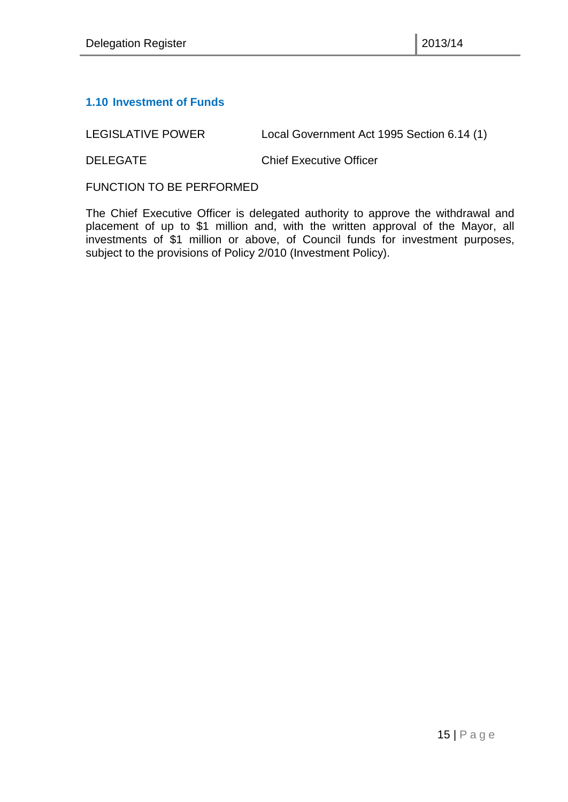#### <span id="page-14-0"></span>**1.10 Investment of Funds**

LEGISLATIVE POWER Local Government Act 1995 Section 6.14 (1)

DELEGATE Chief Executive Officer

FUNCTION TO BE PERFORMED

The Chief Executive Officer is delegated authority to approve the withdrawal and placement of up to \$1 million and, with the written approval of the Mayor, all investments of \$1 million or above, of Council funds for investment purposes, subject to the provisions of Policy 2/010 (Investment Policy).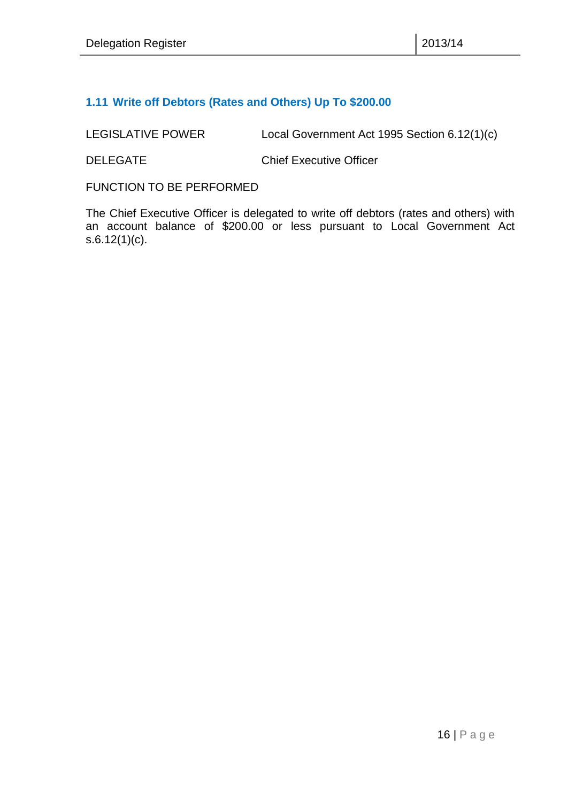#### <span id="page-15-0"></span>**1.11 Write off Debtors (Rates and Others) Up To \$200.00**

LEGISLATIVE POWER Local Government Act 1995 Section 6.12(1)(c)

DELEGATE Chief Executive Officer

FUNCTION TO BE PERFORMED

The Chief Executive Officer is delegated to write off debtors (rates and others) with an account balance of \$200.00 or less pursuant to Local Government Act s.6.12(1)(c).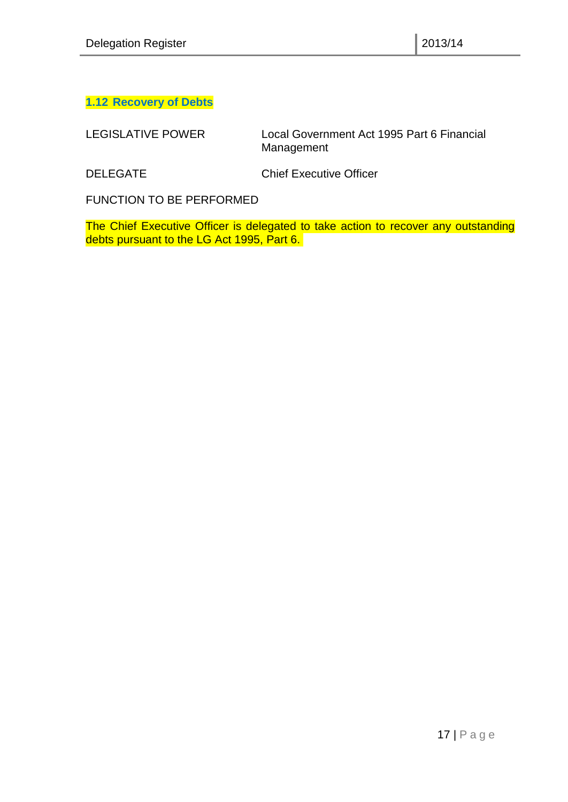### <span id="page-16-0"></span>**1.12 Recovery of Debts**

LEGISLATIVE POWER Local Government Act 1995 Part 6 Financial Management

DELEGATE Chief Executive Officer

FUNCTION TO BE PERFORMED

The Chief Executive Officer is delegated to take action to recover any outstanding debts pursuant to the LG Act 1995, Part 6.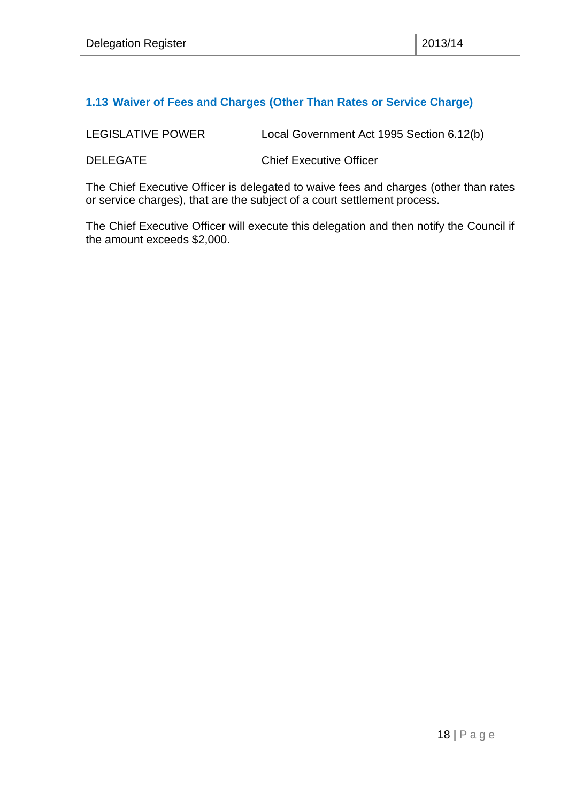#### <span id="page-17-0"></span>**1.13 Waiver of Fees and Charges (Other Than Rates or Service Charge)**

| LEGISLATIVE POWER | Local Government Act 1995 Section 6.12(b) |
|-------------------|-------------------------------------------|
|                   |                                           |

DELEGATE Chief Executive Officer

The Chief Executive Officer is delegated to waive fees and charges (other than rates or service charges), that are the subject of a court settlement process.

The Chief Executive Officer will execute this delegation and then notify the Council if the amount exceeds \$2,000.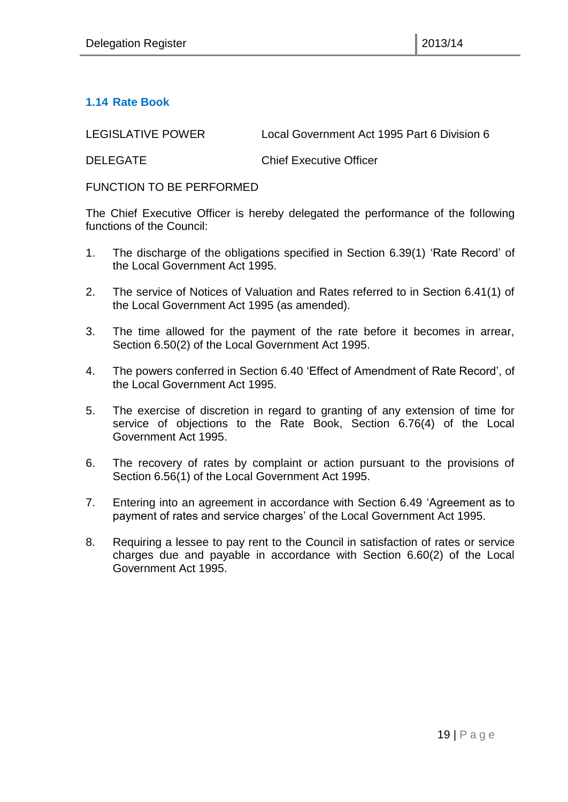#### <span id="page-18-0"></span>**1.14 Rate Book**

LEGISLATIVE POWER Local Government Act 1995 Part 6 Division 6

DELEGATE Chief Executive Officer

FUNCTION TO BE PERFORMED

The Chief Executive Officer is hereby delegated the performance of the following functions of the Council:

- 1. The discharge of the obligations specified in Section 6.39(1) 'Rate Record' of the Local Government Act 1995.
- 2. The service of Notices of Valuation and Rates referred to in Section 6.41(1) of the Local Government Act 1995 (as amended).
- 3. The time allowed for the payment of the rate before it becomes in arrear, Section 6.50(2) of the Local Government Act 1995.
- 4. The powers conferred in Section 6.40 'Effect of Amendment of Rate Record', of the Local Government Act 1995.
- 5. The exercise of discretion in regard to granting of any extension of time for service of objections to the Rate Book, Section 6.76(4) of the Local Government Act 1995.
- 6. The recovery of rates by complaint or action pursuant to the provisions of Section 6.56(1) of the Local Government Act 1995.
- 7. Entering into an agreement in accordance with Section 6.49 'Agreement as to payment of rates and service charges' of the Local Government Act 1995.
- 8. Requiring a lessee to pay rent to the Council in satisfaction of rates or service charges due and payable in accordance with Section 6.60(2) of the Local Government Act 1995.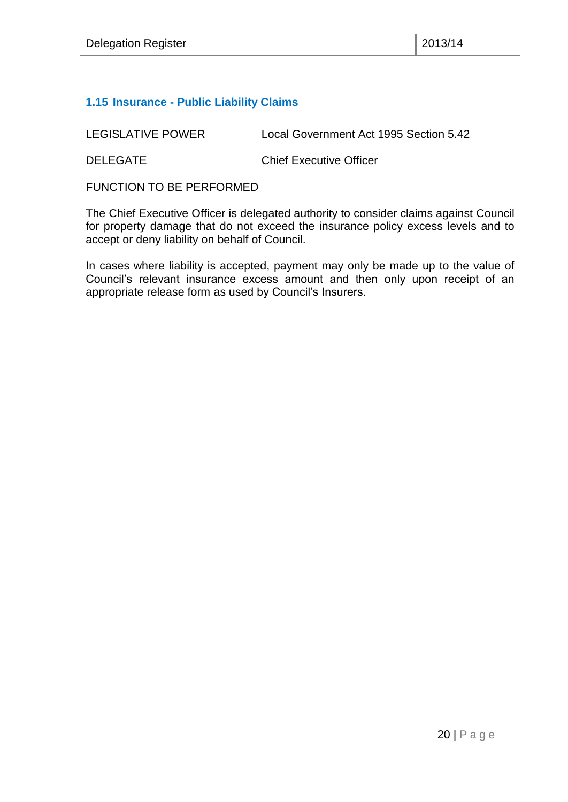#### <span id="page-19-0"></span>**1.15 Insurance - Public Liability Claims**

LEGISLATIVE POWER Local Government Act 1995 Section 5.42 DELEGATE Chief Executive Officer

FUNCTION TO BE PERFORMED

The Chief Executive Officer is delegated authority to consider claims against Council for property damage that do not exceed the insurance policy excess levels and to accept or deny liability on behalf of Council.

In cases where liability is accepted, payment may only be made up to the value of Council's relevant insurance excess amount and then only upon receipt of an appropriate release form as used by Council's Insurers.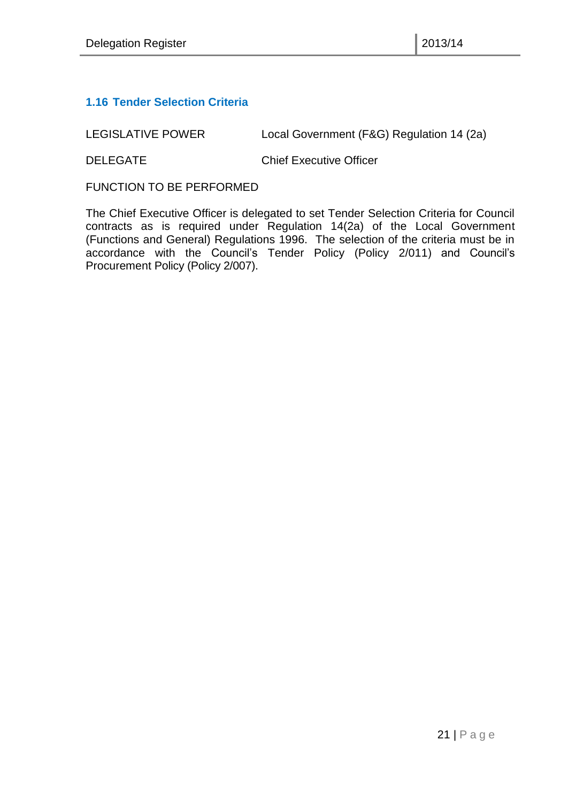#### <span id="page-20-0"></span>**1.16 Tender Selection Criteria**

LEGISLATIVE POWER Local Government (F&G) Regulation 14 (2a)

DELEGATE Chief Executive Officer

FUNCTION TO BE PERFORMED

The Chief Executive Officer is delegated to set Tender Selection Criteria for Council contracts as is required under Regulation 14(2a) of the Local Government (Functions and General) Regulations 1996. The selection of the criteria must be in accordance with the Council's Tender Policy (Policy 2/011) and Council's Procurement Policy (Policy 2/007).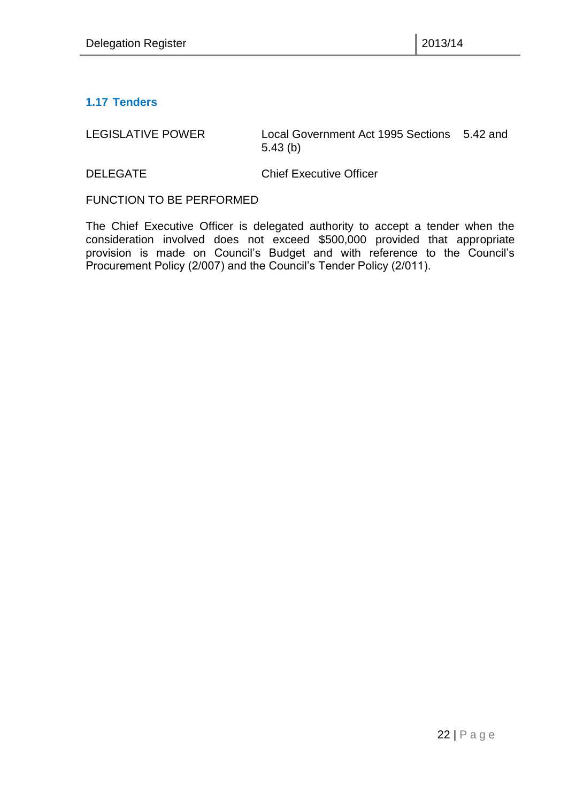#### <span id="page-21-0"></span>**1.17 Tenders**

LEGISLATIVE POWER Local Government Act 1995 Sections 5.42 and 5.43 (b)

DELEGATE Chief Executive Officer

FUNCTION TO BE PERFORMED

The Chief Executive Officer is delegated authority to accept a tender when the consideration involved does not exceed \$500,000 provided that appropriate provision is made on Council's Budget and with reference to the Council's Procurement Policy (2/007) and the Council's Tender Policy (2/011).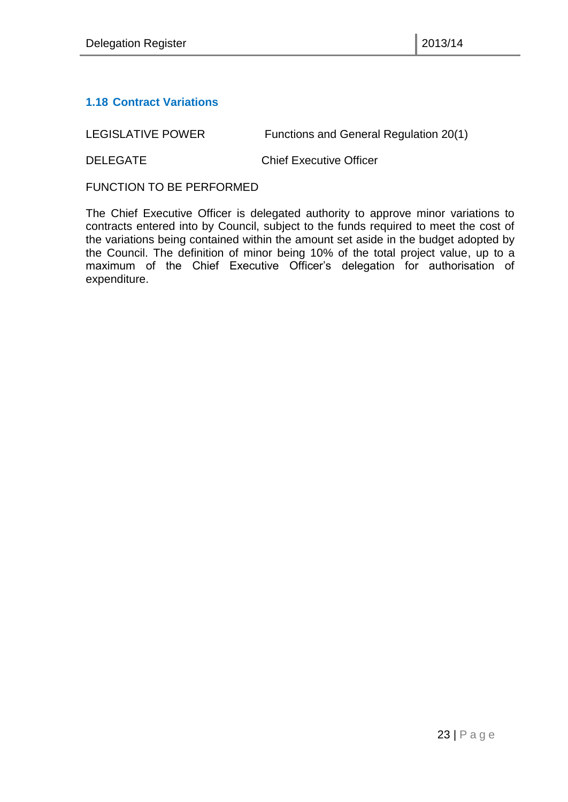#### <span id="page-22-0"></span>**1.18 Contract Variations**

LEGISLATIVE POWER Functions and General Regulation 20(1)

DELEGATE Chief Executive Officer

FUNCTION TO BE PERFORMED

The Chief Executive Officer is delegated authority to approve minor variations to contracts entered into by Council, subject to the funds required to meet the cost of the variations being contained within the amount set aside in the budget adopted by the Council. The definition of minor being 10% of the total project value, up to a maximum of the Chief Executive Officer's delegation for authorisation of expenditure.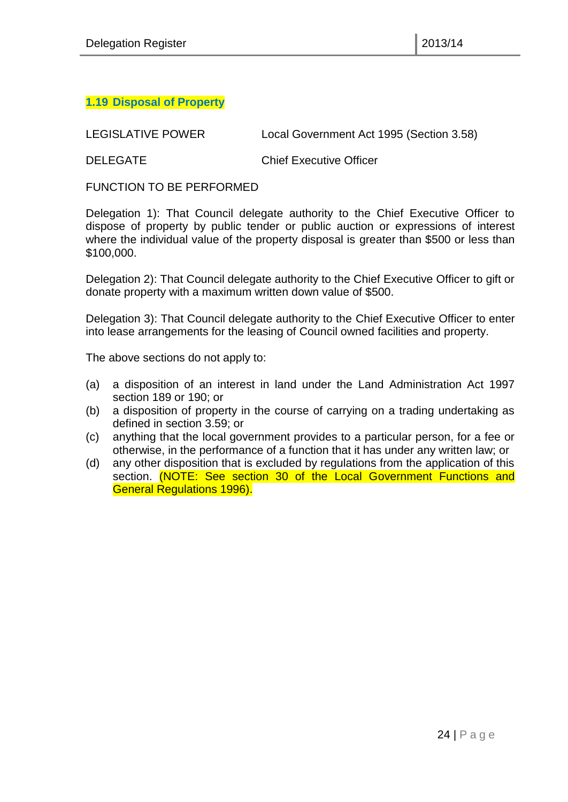#### <span id="page-23-0"></span>**1.19 Disposal of Property**

LEGISLATIVE POWER Local Government Act 1995 (Section 3.58)

DELEGATE Chief Executive Officer

FUNCTION TO BE PERFORMED

Delegation 1): That Council delegate authority to the Chief Executive Officer to dispose of property by public tender or public auction or expressions of interest where the individual value of the property disposal is greater than \$500 or less than \$100,000.

Delegation 2): That Council delegate authority to the Chief Executive Officer to gift or donate property with a maximum written down value of \$500.

Delegation 3): That Council delegate authority to the Chief Executive Officer to enter into lease arrangements for the leasing of Council owned facilities and property.

The above sections do not apply to:

- (a) a disposition of an interest in land under the Land Administration Act 1997 section 189 or 190; or
- (b) a disposition of property in the course of carrying on a trading undertaking as defined in section 3.59; or
- (c) anything that the local government provides to a particular person, for a fee or otherwise, in the performance of a function that it has under any written law; or
- (d) any other disposition that is excluded by regulations from the application of this section. (NOTE: See section 30 of the Local Government Functions and General Regulations 1996).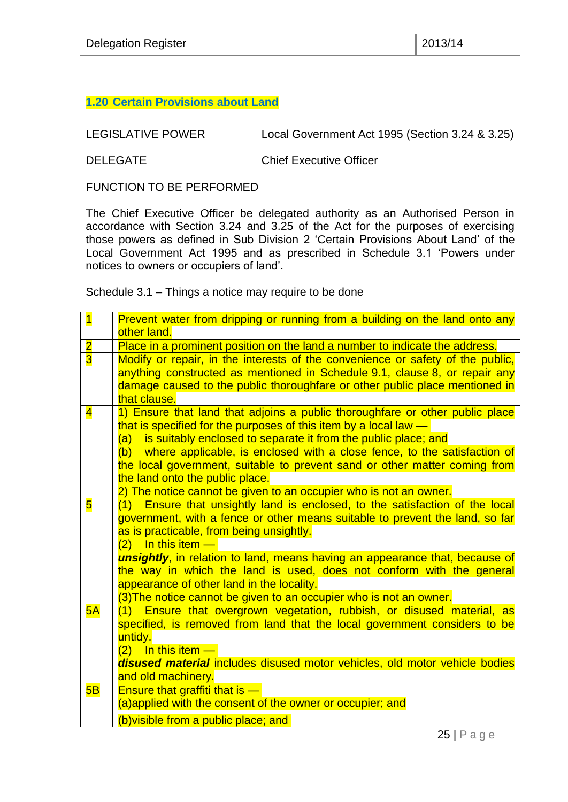#### <span id="page-24-0"></span>**1.20 Certain Provisions about Land**

LEGISLATIVE POWER Local Government Act 1995 (Section 3.24 & 3.25)

DELEGATE Chief Executive Officer

FUNCTION TO BE PERFORMED

The Chief Executive Officer be delegated authority as an Authorised Person in accordance with Section 3.24 and 3.25 of the Act for the purposes of exercising those powers as defined in Sub Division 2 'Certain Provisions About Land' of the Local Government Act 1995 and as prescribed in Schedule 3.1 'Powers under notices to owners or occupiers of land'.

Schedule 3.1 – Things a notice may require to be done

| $\overline{\mathbf{1}}$ | Prevent water from dripping or running from a building on the land onto any         |  |  |
|-------------------------|-------------------------------------------------------------------------------------|--|--|
|                         | other land.                                                                         |  |  |
| $\overline{\mathbf{2}}$ | Place in a prominent position on the land a number to indicate the address.         |  |  |
| $\overline{\mathbf{3}}$ | Modify or repair, in the interests of the convenience or safety of the public,      |  |  |
|                         | anything constructed as mentioned in Schedule 9.1, clause 8, or repair any          |  |  |
|                         | damage caused to the public thoroughfare or other public place mentioned in         |  |  |
|                         | that clause.                                                                        |  |  |
| $\overline{\mathbf{4}}$ | 1) Ensure that land that adjoins a public thoroughfare or other public place        |  |  |
|                         | that is specified for the purposes of this item by a local law $-$                  |  |  |
|                         | (a) is suitably enclosed to separate it from the public place; and                  |  |  |
|                         | (b) where applicable, is enclosed with a close fence, to the satisfaction of        |  |  |
|                         | the local government, suitable to prevent sand or other matter coming from          |  |  |
|                         | the land onto the public place.                                                     |  |  |
|                         | 2) The notice cannot be given to an occupier who is not an owner.                   |  |  |
| $\overline{\mathbf{5}}$ | (1) Ensure that unsightly land is enclosed, to the satisfaction of the local        |  |  |
|                         | government, with a fence or other means suitable to prevent the land, so far        |  |  |
|                         | as is practicable, from being unsightly.                                            |  |  |
|                         | $(2)$ In this item $-$                                                              |  |  |
|                         | <b>unsightly</b> , in relation to land, means having an appearance that, because of |  |  |
|                         | the way in which the land is used, does not conform with the general                |  |  |
|                         | appearance of other land in the locality.                                           |  |  |
|                         | (3) The notice cannot be given to an occupier who is not an owner.                  |  |  |
| 5A                      | (1) Ensure that overgrown vegetation, rubbish, or disused material, as              |  |  |
|                         | specified, is removed from land that the local government considers to be           |  |  |
|                         | untidy.                                                                             |  |  |
|                         | $(2)$ In this item $-$                                                              |  |  |
|                         | disused material includes disused motor vehicles, old motor vehicle bodies          |  |  |
|                         | and old machinery.                                                                  |  |  |
| 5B                      | <b>Ensure that graffiti that is -</b>                                               |  |  |
|                         | (a)applied with the consent of the owner or occupier; and                           |  |  |
|                         | (b) visible from a public place; and                                                |  |  |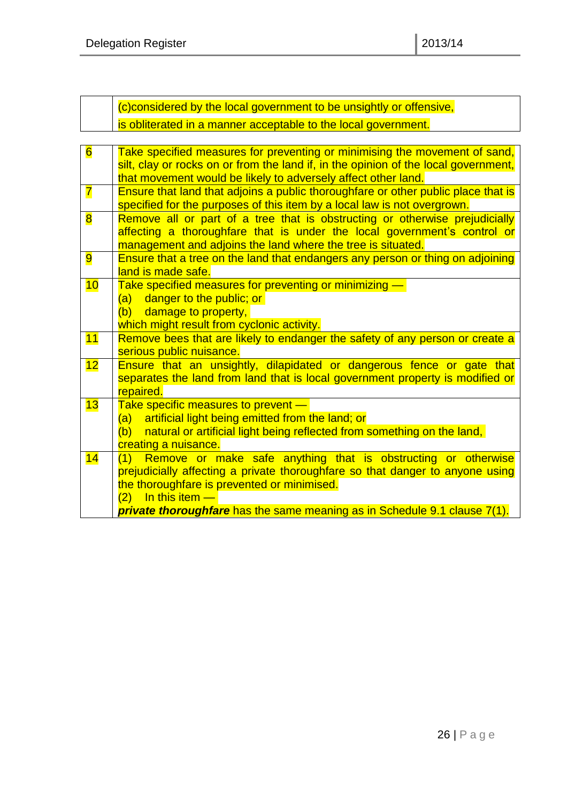(c)considered by the local government to be unsightly or offensive, is obliterated in a manner acceptable to the local government.

| $6\overline{6}$         | Take specified measures for preventing or minimising the movement of sand,<br>silt, clay or rocks on or from the land if, in the opinion of the local government, |  |
|-------------------------|-------------------------------------------------------------------------------------------------------------------------------------------------------------------|--|
|                         | that movement would be likely to adversely affect other land.                                                                                                     |  |
| $\overline{\mathbf{7}}$ | Ensure that land that adjoins a public thoroughfare or other public place that is                                                                                 |  |
|                         | specified for the purposes of this item by a local law is not overgrown.                                                                                          |  |
| $\overline{\mathbf{8}}$ | Remove all or part of a tree that is obstructing or otherwise prejudicially                                                                                       |  |
|                         | affecting a thoroughfare that is under the local government's control or                                                                                          |  |
|                         | management and adjoins the land where the tree is situated.                                                                                                       |  |
| 9                       | Ensure that a tree on the land that endangers any person or thing on adjoining                                                                                    |  |
|                         | land is made safe.                                                                                                                                                |  |
| 10                      | Take specified measures for preventing or minimizing -                                                                                                            |  |
|                         | (a) danger to the public; or                                                                                                                                      |  |
|                         | (b) damage to property,                                                                                                                                           |  |
|                         | which might result from cyclonic activity.                                                                                                                        |  |
| 11                      | Remove bees that are likely to endanger the safety of any person or create a                                                                                      |  |
|                         | serious public nuisance.                                                                                                                                          |  |
| 12                      | Ensure that an unsightly, dilapidated or dangerous fence or gate that                                                                                             |  |
|                         | separates the land from land that is local government property is modified or                                                                                     |  |
|                         | repaired.                                                                                                                                                         |  |
| 13                      | Take specific measures to prevent -<br>(a) artificial light being emitted from the land; or                                                                       |  |
|                         | (b) natural or artificial light being reflected from something on the land,                                                                                       |  |
|                         | creating a nuisance.                                                                                                                                              |  |
| 14                      | (1) Remove or make safe anything that is obstructing or otherwise                                                                                                 |  |
|                         | prejudicially affecting a private thoroughfare so that danger to anyone using                                                                                     |  |
|                         | the thoroughfare is prevented or minimised.                                                                                                                       |  |
|                         | $\frac{1}{2}$ In this item $\frac{1}{2}$<br>(2)                                                                                                                   |  |
|                         | private thoroughfare has the same meaning as in Schedule 9.1 clause 7(1).                                                                                         |  |
|                         |                                                                                                                                                                   |  |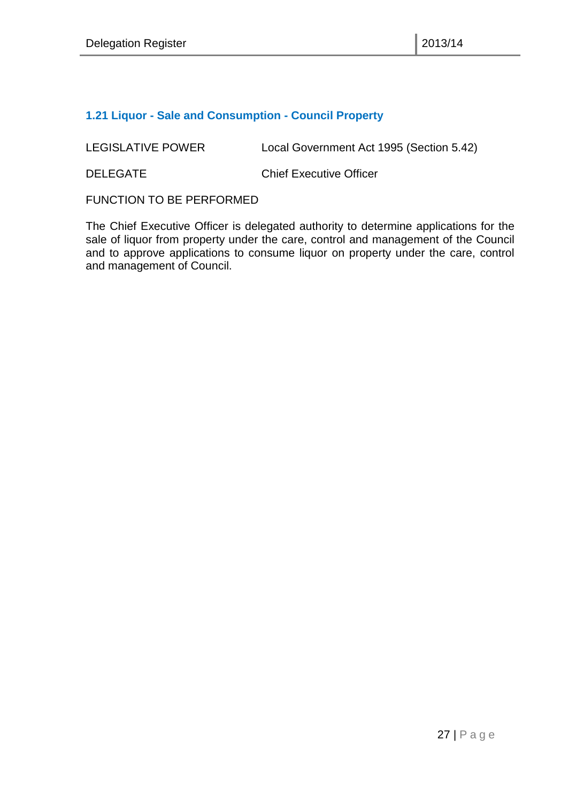#### <span id="page-26-0"></span>**1.21 Liquor - Sale and Consumption - Council Property**

LEGISLATIVE POWER Local Government Act 1995 (Section 5.42)

DELEGATE Chief Executive Officer

FUNCTION TO BE PERFORMED

The Chief Executive Officer is delegated authority to determine applications for the sale of liquor from property under the care, control and management of the Council and to approve applications to consume liquor on property under the care, control and management of Council.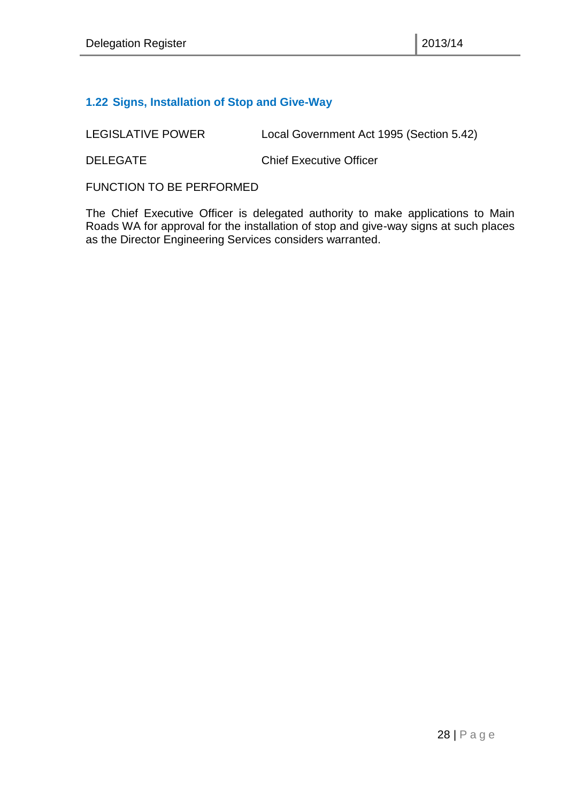#### <span id="page-27-0"></span>**1.22 Signs, Installation of Stop and Give-Way**

LEGISLATIVE POWER Local Government Act 1995 (Section 5.42)

DELEGATE Chief Executive Officer

FUNCTION TO BE PERFORMED

The Chief Executive Officer is delegated authority to make applications to Main Roads WA for approval for the installation of stop and give-way signs at such places as the Director Engineering Services considers warranted.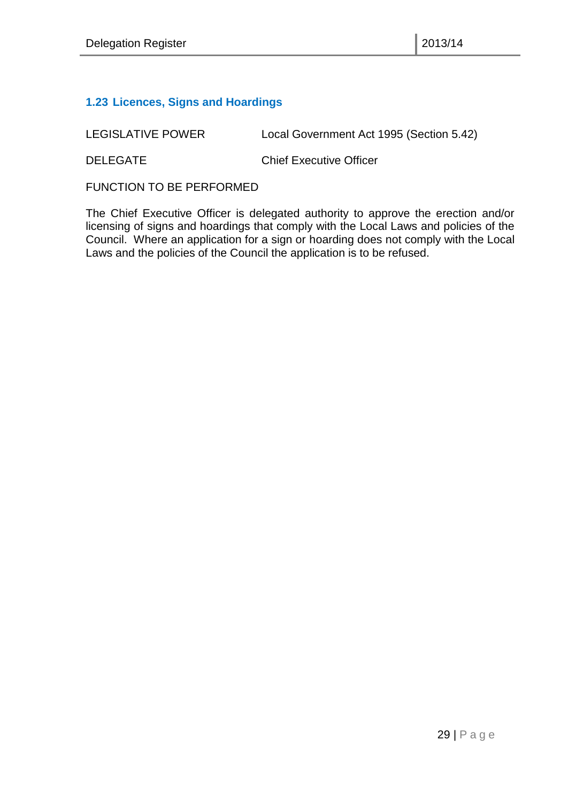#### <span id="page-28-0"></span>**1.23 Licences, Signs and Hoardings**

LEGISLATIVE POWER Local Government Act 1995 (Section 5.42)

DELEGATE Chief Executive Officer

FUNCTION TO BE PERFORMED

The Chief Executive Officer is delegated authority to approve the erection and/or licensing of signs and hoardings that comply with the Local Laws and policies of the Council. Where an application for a sign or hoarding does not comply with the Local Laws and the policies of the Council the application is to be refused.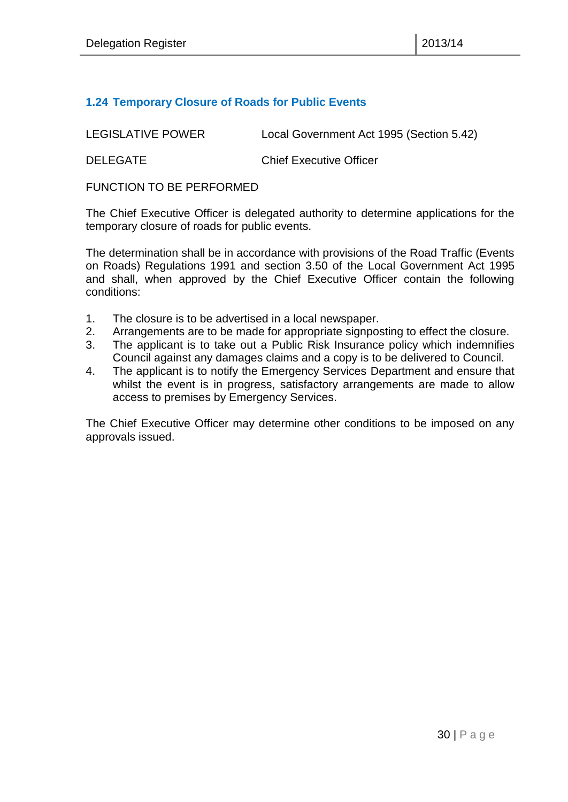#### <span id="page-29-0"></span>**1.24 Temporary Closure of Roads for Public Events**

LEGISLATIVE POWER Local Government Act 1995 (Section 5.42) DELEGATE Chief Executive Officer

FUNCTION TO BE PERFORMED

The Chief Executive Officer is delegated authority to determine applications for the temporary closure of roads for public events.

The determination shall be in accordance with provisions of the Road Traffic (Events on Roads) Regulations 1991 and section 3.50 of the Local Government Act 1995 and shall, when approved by the Chief Executive Officer contain the following conditions:

- 1. The closure is to be advertised in a local newspaper.
- 2. Arrangements are to be made for appropriate signposting to effect the closure.
- 3. The applicant is to take out a Public Risk Insurance policy which indemnifies Council against any damages claims and a copy is to be delivered to Council.
- 4. The applicant is to notify the Emergency Services Department and ensure that whilst the event is in progress, satisfactory arrangements are made to allow access to premises by Emergency Services.

The Chief Executive Officer may determine other conditions to be imposed on any approvals issued.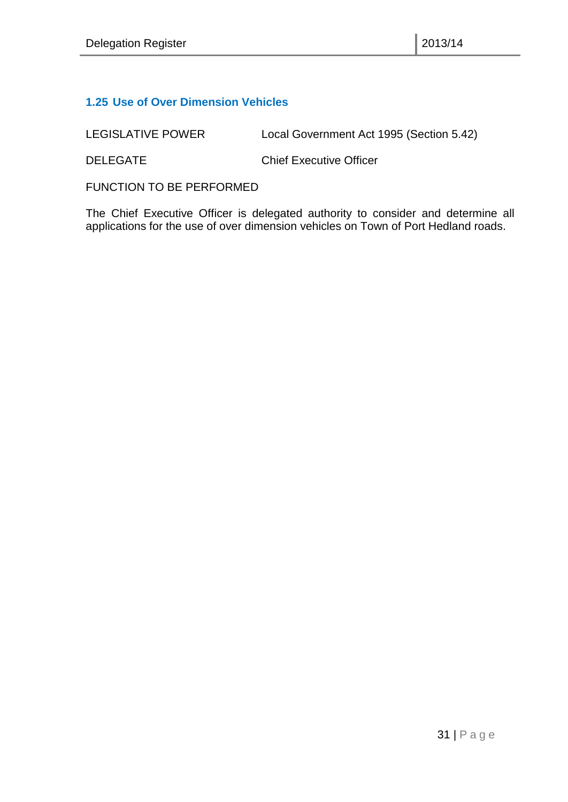#### <span id="page-30-0"></span>**1.25 Use of Over Dimension Vehicles**

LEGISLATIVE POWER Local Government Act 1995 (Section 5.42)

DELEGATE Chief Executive Officer

FUNCTION TO BE PERFORMED

The Chief Executive Officer is delegated authority to consider and determine all applications for the use of over dimension vehicles on Town of Port Hedland roads.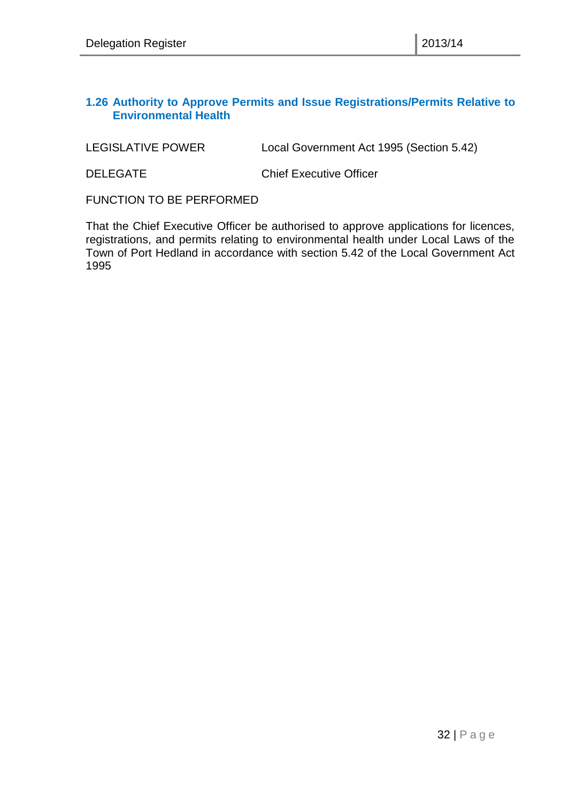#### <span id="page-31-0"></span>**1.26 Authority to Approve Permits and Issue Registrations/Permits Relative to Environmental Health**

LEGISLATIVE POWER Local Government Act 1995 (Section 5.42)

DELEGATE Chief Executive Officer

FUNCTION TO BE PERFORMED

That the Chief Executive Officer be authorised to approve applications for licences, registrations, and permits relating to environmental health under Local Laws of the Town of Port Hedland in accordance with section 5.42 of the Local Government Act 1995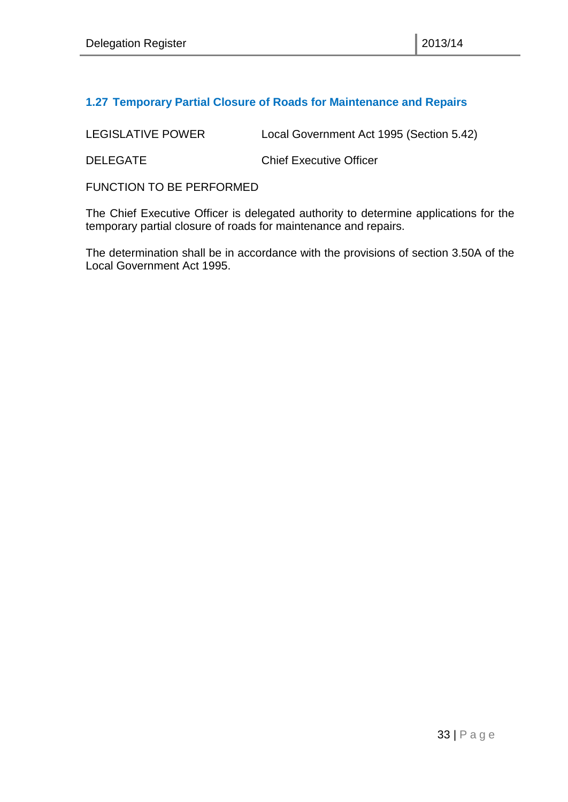#### <span id="page-32-0"></span>**1.27 Temporary Partial Closure of Roads for Maintenance and Repairs**

LEGISLATIVE POWER Local Government Act 1995 (Section 5.42) DELEGATE Chief Executive Officer

FUNCTION TO BE PERFORMED

The Chief Executive Officer is delegated authority to determine applications for the temporary partial closure of roads for maintenance and repairs.

The determination shall be in accordance with the provisions of section 3.50A of the Local Government Act 1995.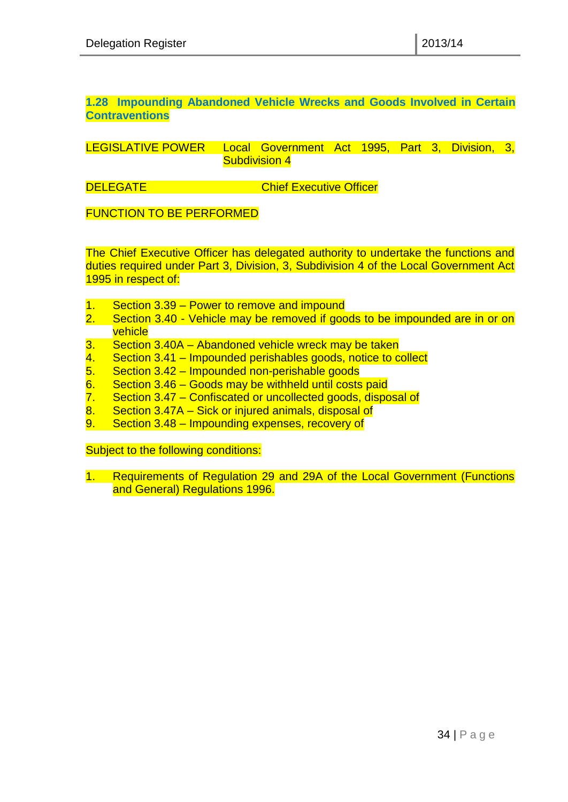<span id="page-33-0"></span>**1.28 Impounding Abandoned Vehicle Wrecks and Goods Involved in Certain Contraventions**

LEGISLATIVE POWER Local Government Act 1995, Part 3, Division, 3, Subdivision 4

**DELEGATE** Chief Executive Officer

FUNCTION TO BE PERFORMED

The Chief Executive Officer has delegated authority to undertake the functions and duties required under Part 3, Division, 3, Subdivision 4 of the Local Government Act 1995 in respect of:

- 1. Section 3.39 Power to remove and impound
- 2. Section 3.40 Vehicle may be removed if goods to be impounded are in or on vehicle
- 3. Section 3.40A Abandoned vehicle wreck may be taken
- $\frac{4.}{5.}$  Section 3.41 Impounded perishables goods, notice to collect  $\overline{5.}$  Section 3.42 Impounded non-perishable goods
- 5. Section 3.42 Impounded non-perishable goods
- 6. Section 3.46 Goods may be withheld until costs paid
- 7. Section 3.47 Confiscated or uncollected goods, disposal of
- 8. Section 3.47A Sick or injured animals, disposal of
- 9. Section 3.48 Impounding expenses, recovery of

Subject to the following conditions:

1. Requirements of Regulation 29 and 29A of the Local Government (Functions and General) Regulations 1996.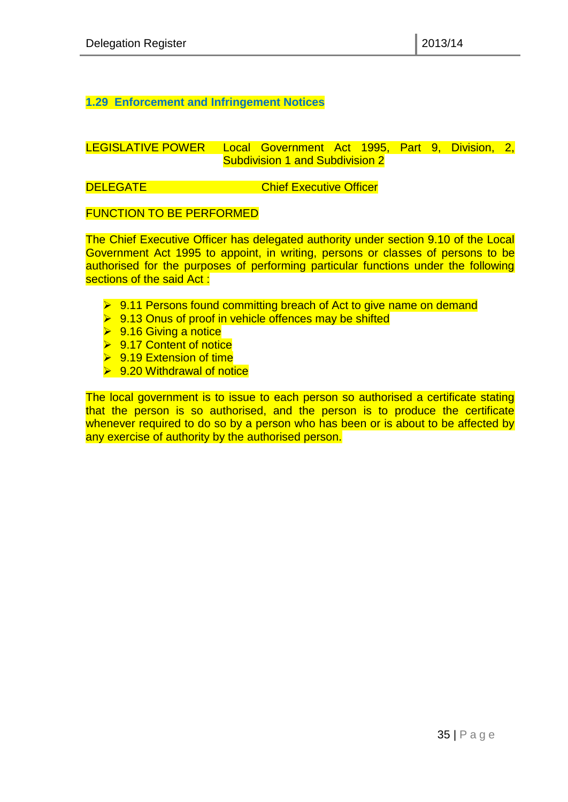#### <span id="page-34-0"></span>**1.29 Enforcement and Infringement Notices**

#### LEGISLATIVE POWER Local Government Act 1995, Part 9, Division, 2, Subdivision 1 and Subdivision 2

**DELEGATE** Chief Executive Officer

#### FUNCTION TO BE PERFORMED

The Chief Executive Officer has delegated authority under section 9.10 of the Local Government Act 1995 to appoint, in writing, persons or classes of persons to be authorised for the purposes of performing particular functions under the following sections of the said Act:

- **► 9.11 Persons found committing breach of Act to give name on demand**
- $\triangleright$  9.13 Onus of proof in vehicle offences may be shifted
- $\triangleright$  9.16 Giving a notice
- $\triangleright$  9.17 Content of notice
- $\triangleright$  9.19 Extension of time
- $\triangleright$  9.20 Withdrawal of notice

The local government is to issue to each person so authorised a certificate stating that the person is so authorised, and the person is to produce the certificate whenever required to do so by a person who has been or is about to be affected by any exercise of authority by the authorised person.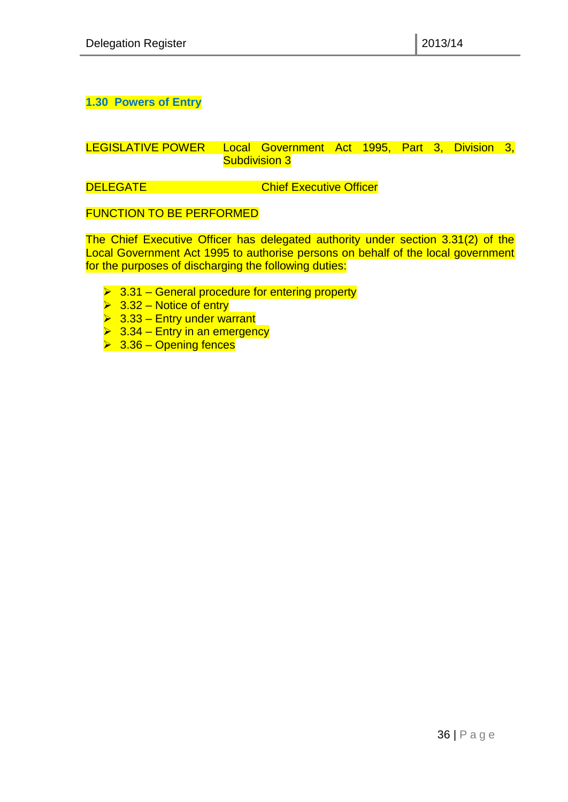<span id="page-35-0"></span>**1.30 Powers of Entry**

LEGISLATIVE POWER Local Government Act 1995, Part 3, Division 3, Subdivision 3

**DELEGATE** Chief Executive Officer

FUNCTION TO BE PERFORMED

The Chief Executive Officer has delegated authority under section 3.31(2) of the Local Government Act 1995 to authorise persons on behalf of the local government for the purposes of discharging the following duties:

- $\geq 3.31$  General procedure for entering property
- $\triangleright$  3.32 Notice of entry
- $\geq 3.33$  Entry under warrant
- $\geq 3.34$  Entry in an emergency
- $\geq 3.36 -$  Opening fences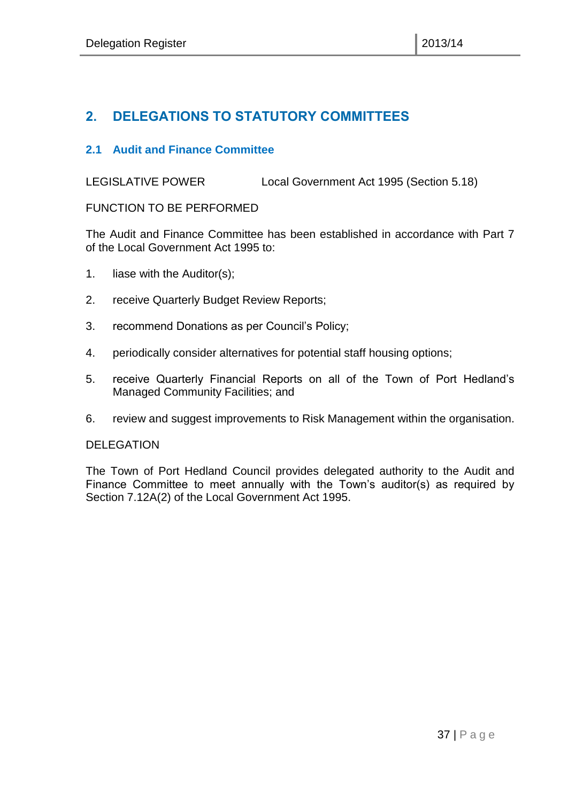# <span id="page-36-0"></span>**2. DELEGATIONS TO STATUTORY COMMITTEES**

#### <span id="page-36-1"></span>**2.1 Audit and Finance Committee**

LEGISLATIVE POWER Local Government Act 1995 (Section 5.18)

#### FUNCTION TO BE PERFORMED

The Audit and Finance Committee has been established in accordance with Part 7 of the Local Government Act 1995 to:

- 1. liase with the Auditor(s);
- 2. receive Quarterly Budget Review Reports;
- 3. recommend Donations as per Council's Policy;
- 4. periodically consider alternatives for potential staff housing options;
- 5. receive Quarterly Financial Reports on all of the Town of Port Hedland's Managed Community Facilities; and
- 6. review and suggest improvements to Risk Management within the organisation.

#### DELEGATION

The Town of Port Hedland Council provides delegated authority to the Audit and Finance Committee to meet annually with the Town's auditor(s) as required by Section 7.12A(2) of the Local Government Act 1995.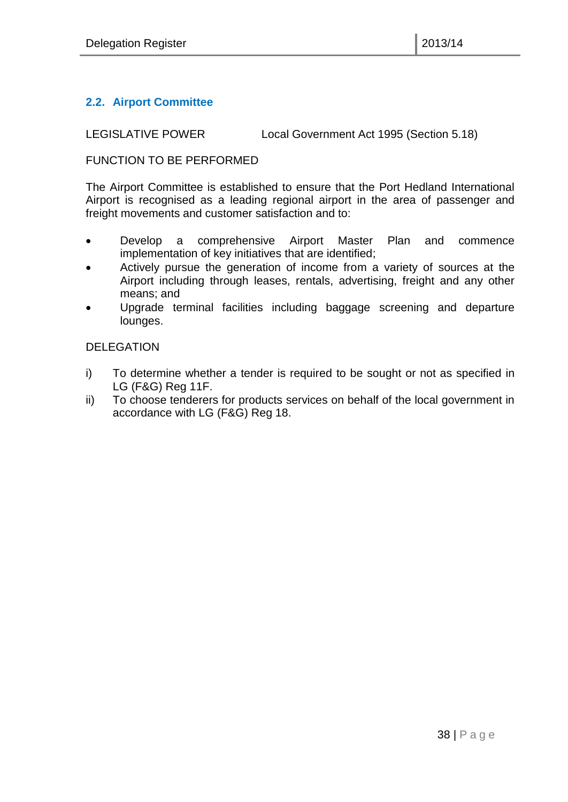### <span id="page-37-0"></span>**2.2. Airport Committee**

LEGISLATIVE POWER Local Government Act 1995 (Section 5.18)

#### FUNCTION TO BE PERFORMED

The Airport Committee is established to ensure that the Port Hedland International Airport is recognised as a leading regional airport in the area of passenger and freight movements and customer satisfaction and to:

- Develop a comprehensive Airport Master Plan and commence implementation of key initiatives that are identified;
- Actively pursue the generation of income from a variety of sources at the Airport including through leases, rentals, advertising, freight and any other means; and
- Upgrade terminal facilities including baggage screening and departure lounges.

#### DELEGATION

- i) To determine whether a tender is required to be sought or not as specified in LG (F&G) Reg 11F.
- ii) To choose tenderers for products services on behalf of the local government in accordance with LG (F&G) Reg 18.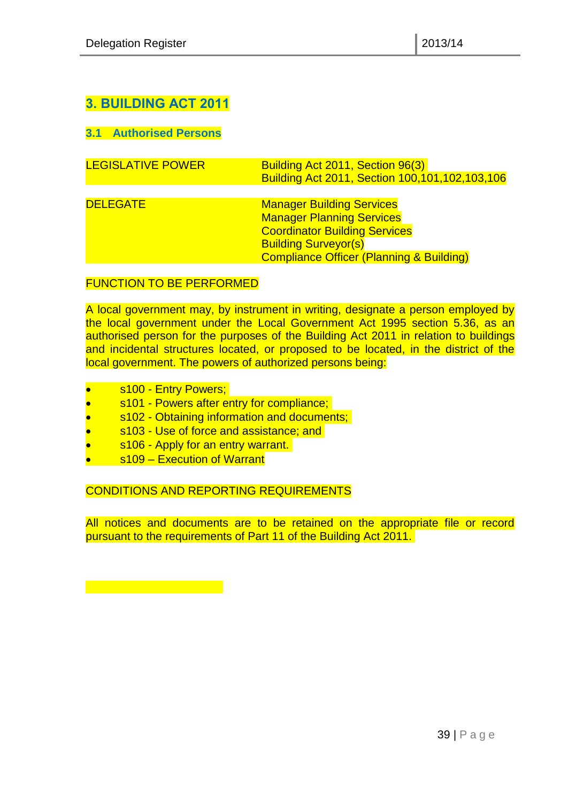# <span id="page-38-0"></span>**3. BUILDING ACT 2011**

<span id="page-38-1"></span>**3.1 Authorised Persons**

| <b>LEGISLATIVE POWER</b> | Building Act 2011, Section 96(3)<br>Building Act 2011, Section 100,101,102,103,106                                                                                                                 |
|--------------------------|----------------------------------------------------------------------------------------------------------------------------------------------------------------------------------------------------|
| <b>DELEGATE</b>          | <b>Manager Building Services</b><br><b>Manager Planning Services</b><br><b>Coordinator Building Services</b><br><b>Building Surveyor(s)</b><br><b>Compliance Officer (Planning &amp; Building)</b> |

#### FUNCTION TO BE PERFORMED

A local government may, by instrument in writing, designate a person employed by the local government under the Local Government Act 1995 section 5.36, as an authorised person for the purposes of the Building Act 2011 in relation to buildings and incidental structures located, or proposed to be located, in the district of the local government. The powers of authorized persons being:

- s100 Entry Powers;
- s101 Powers after entry for compliance;
- s102 Obtaining information and documents;
- s103 Use of force and assistance; and
- s106 Apply for an entry warrant.
- s109 Execution of Warrant

CONDITIONS AND REPORTING REQUIREMENTS

All notices and documents are to be retained on the appropriate file or record pursuant to the requirements of Part 11 of the Building Act 2011.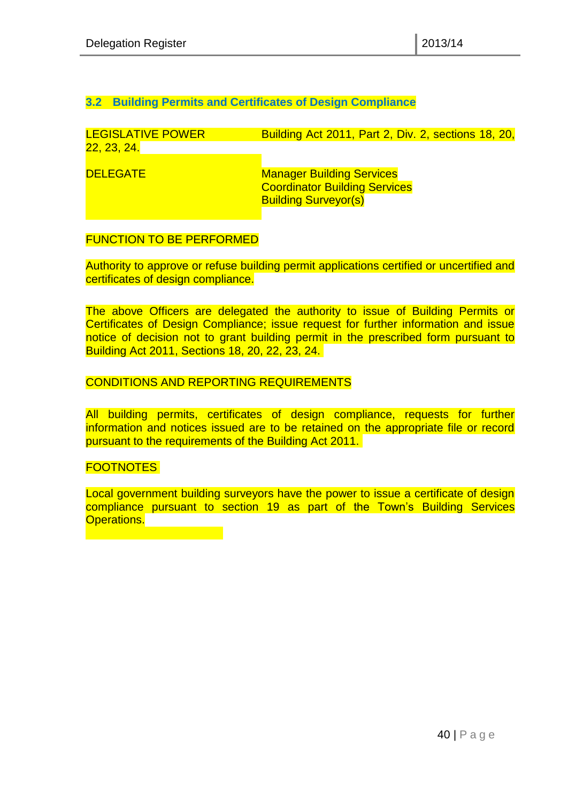#### <span id="page-39-0"></span>**3.2 Building Permits and Certificates of Design Compliance**

| <b>LEGISLATIVE POWER</b><br>22, 23, 24. | Building Act 2011, Part 2, Div. 2, sections 18, 20,                                                     |
|-----------------------------------------|---------------------------------------------------------------------------------------------------------|
| <b>DELEGATE</b>                         | <b>Manager Building Services</b><br><b>Coordinator Building Services</b><br><b>Building Surveyor(s)</b> |

#### FUNCTION TO BE PERFORMED

Authority to approve or refuse building permit applications certified or uncertified and certificates of design compliance.

The above Officers are delegated the authority to issue of Building Permits or Certificates of Design Compliance; issue request for further information and issue notice of decision not to grant building permit in the prescribed form pursuant to Building Act 2011, Sections 18, 20, 22, 23, 24.

#### CONDITIONS AND REPORTING REQUIREMENTS

All building permits, certificates of design compliance, requests for further information and notices issued are to be retained on the appropriate file or record pursuant to the requirements of the Building Act 2011.

#### FOOTNOTES

Local government building surveyors have the power to issue a certificate of design compliance pursuant to section 19 as part of the Town's Building Services **Operations.**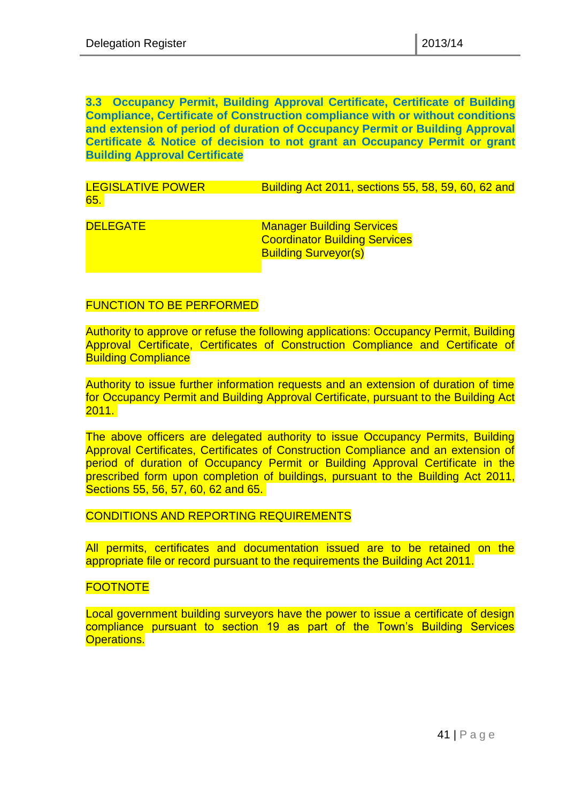#### <span id="page-40-0"></span>**3.3 Occupancy Permit, Building Approval Certificate, Certificate of Building Compliance, Certificate of Construction compliance with or without conditions and extension of period of duration of Occupancy Permit or Building Approval Certificate & Notice of decision to not grant an Occupancy Permit or grant Building Approval Certificate**

LEGISLATIVE POWER Building Act 2011, sections 55, 58, 59, 60, 62 and 65.

**DELEGATE** Manager Building Services Coordinator Building Services Building Surveyor(s)

#### FUNCTION TO BE PERFORMED

Authority to approve or refuse the following applications: Occupancy Permit, Building Approval Certificate, Certificates of Construction Compliance and Certificate of Building Compliance

Authority to issue further information requests and an extension of duration of time for Occupancy Permit and Building Approval Certificate, pursuant to the Building Act 2011.

The above officers are delegated authority to issue Occupancy Permits, Building Approval Certificates, Certificates of Construction Compliance and an extension of period of duration of Occupancy Permit or Building Approval Certificate in the prescribed form upon completion of buildings, pursuant to the Building Act 2011, Sections 55, 56, 57, 60, 62 and 65.

#### CONDITIONS AND REPORTING REQUIREMENTS

All permits, certificates and documentation issued are to be retained on the appropriate file or record pursuant to the requirements the Building Act 2011.

#### **FOOTNOTE**

Local government building surveyors have the power to issue a certificate of design compliance pursuant to section 19 as part of the Town's Building Services Operations.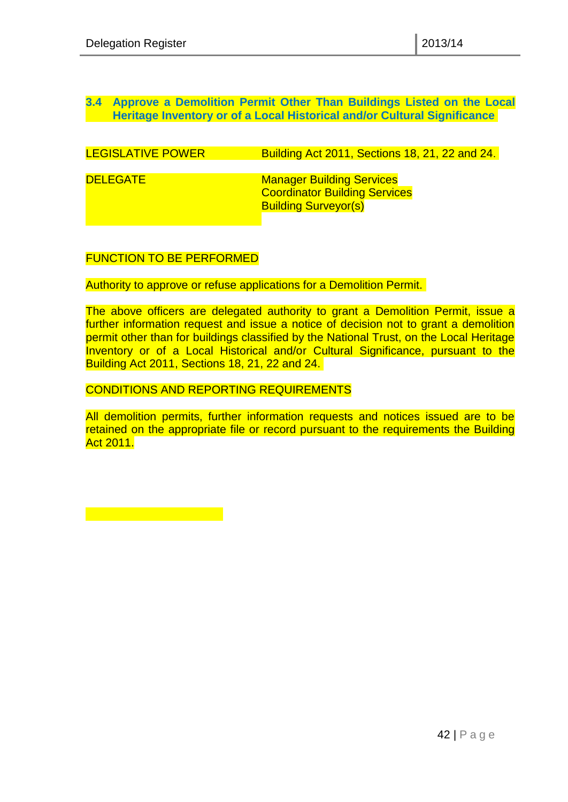#### <span id="page-41-0"></span>**3.4 Approve a Demolition Permit Other Than Buildings Listed on the Local Heritage Inventory or of a Local Historical and/or Cultural Significance**

| <b>LEGISLATIVE POWER</b> | <b>Building Act 2011, Sections 18, 21, 22 and 24.</b>                                                   |
|--------------------------|---------------------------------------------------------------------------------------------------------|
|                          |                                                                                                         |
| <b>DELEGATE</b>          | <b>Manager Building Services</b><br><b>Coordinator Building Services</b><br><b>Building Surveyor(s)</b> |
|                          |                                                                                                         |

#### FUNCTION TO BE PERFORMED

Authority to approve or refuse applications for a Demolition Permit.

The above officers are delegated authority to grant a Demolition Permit, issue a further information request and issue a notice of decision not to grant a demolition permit other than for buildings classified by the National Trust, on the Local Heritage Inventory or of a Local Historical and/or Cultural Significance, pursuant to the Building Act 2011, Sections 18, 21, 22 and 24.

#### CONDITIONS AND REPORTING REQUIREMENTS

All demolition permits, further information requests and notices issued are to be retained on the appropriate file or record pursuant to the requirements the Building Act 2011.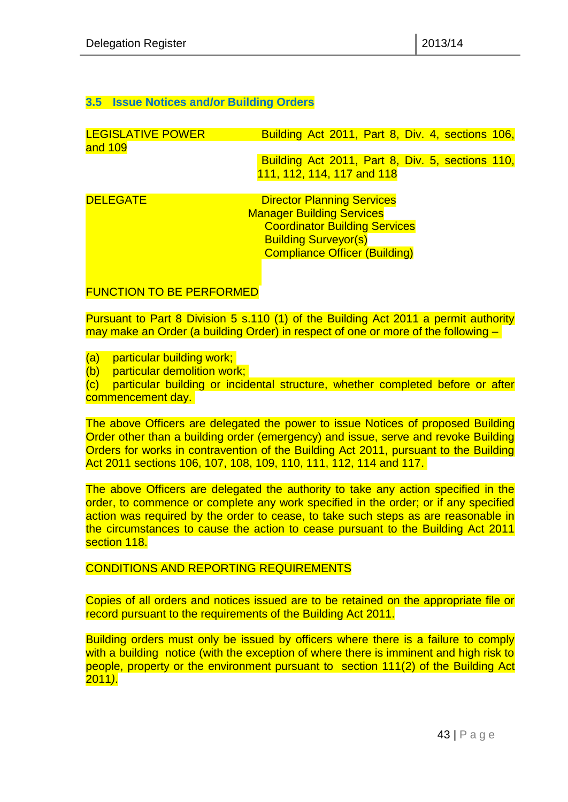#### <span id="page-42-0"></span>**3.5 Issue Notices and/or Building Orders**

| <b>LEGISLATIVE POWER</b><br>and 109 | Building Act 2011, Part 8, Div. 4, sections 106, |
|-------------------------------------|--------------------------------------------------|
|                                     |                                                  |
|                                     | Building Act 2011, Part 8, Div. 5, sections 110, |
|                                     | 111, 112, 114, 117 and 118                       |
|                                     |                                                  |
| <b>DELEGATE</b>                     | <b>Director Planning Services</b>                |
|                                     | <b>Manager Building Services</b>                 |
|                                     | <b>Coordinator Building Services</b>             |
|                                     | <b>Building Surveyor(s)</b>                      |
|                                     | <b>Compliance Officer (Building)</b>             |
|                                     |                                                  |

FUNCTION TO BE PERFORMED

Pursuant to Part 8 Division 5 s.110 (1) of the Building Act 2011 a permit authority may make an Order (a building Order) in respect of one or more of the following –

(a) particular building work;

(b) particular demolition work:

(c) particular building or incidental structure, whether completed before or after commencement day.

The above Officers are delegated the power to issue Notices of proposed Building Order other than a building order (emergency) and issue, serve and revoke Building Orders for works in contravention of the Building Act 2011, pursuant to the Building Act 2011 sections 106, 107, 108, 109, 110, 111, 112, 114 and 117.

The above Officers are delegated the authority to take any action specified in the order, to commence or complete any work specified in the order; or if any specified action was required by the order to cease, to take such steps as are reasonable in the circumstances to cause the action to cease pursuant to the Building Act 2011 section 118.

CONDITIONS AND REPORTING REQUIREMENTS

Copies of all orders and notices issued are to be retained on the appropriate file or record pursuant to the requirements of the Building Act 2011.

Building orders must only be issued by officers where there is a failure to comply with a building notice (with the exception of where there is imminent and high risk to people, property or the environment pursuant to section 111(2) of the Building Act 2011*)*.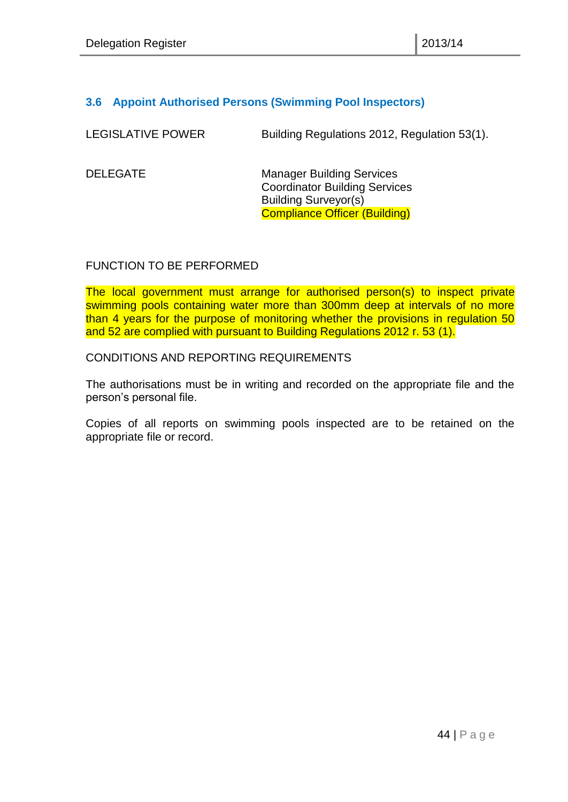#### <span id="page-43-0"></span>**3.6 Appoint Authorised Persons (Swimming Pool Inspectors)**

| <b>LEGISLATIVE POWER</b> | Building Regulations 2012, Regulation 53(1). |
|--------------------------|----------------------------------------------|
|--------------------------|----------------------------------------------|

DELEGATE Manager Building Services Coordinator Building Services Building Surveyor(s) Compliance Officer (Building)

#### FUNCTION TO BE PERFORMED

The local government must arrange for authorised person(s) to inspect private swimming pools containing water more than 300mm deep at intervals of no more than 4 years for the purpose of monitoring whether the provisions in regulation 50 and 52 are complied with pursuant to Building Regulations 2012 r. 53 (1).

#### CONDITIONS AND REPORTING REQUIREMENTS

The authorisations must be in writing and recorded on the appropriate file and the person's personal file.

Copies of all reports on swimming pools inspected are to be retained on the appropriate file or record.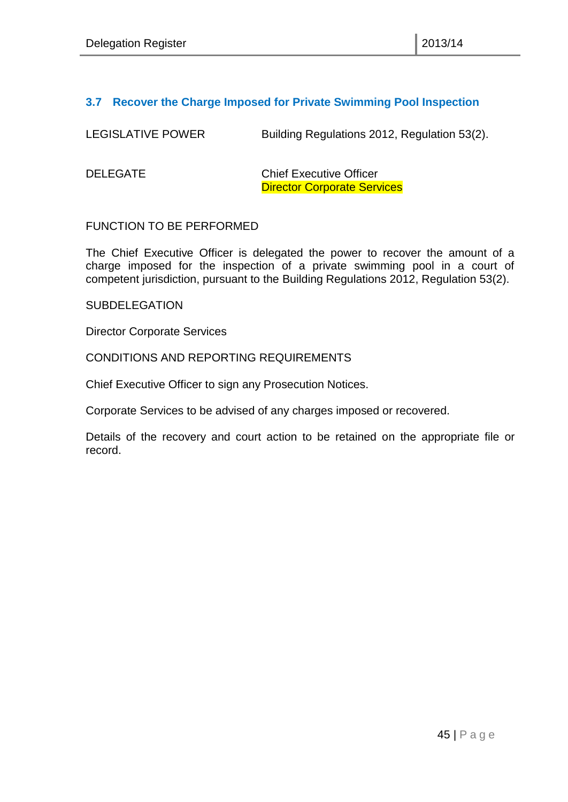#### <span id="page-44-0"></span>**3.7 Recover the Charge Imposed for Private Swimming Pool Inspection**

LEGISLATIVE POWER Building Regulations 2012, Regulation 53(2).

DELEGATE Chief Executive Officer Director Corporate Services

#### FUNCTION TO BE PERFORMED

The Chief Executive Officer is delegated the power to recover the amount of a charge imposed for the inspection of a private swimming pool in a court of competent jurisdiction, pursuant to the Building Regulations 2012, Regulation 53(2).

#### **SUBDELEGATION**

Director Corporate Services

#### CONDITIONS AND REPORTING REQUIREMENTS

Chief Executive Officer to sign any Prosecution Notices.

Corporate Services to be advised of any charges imposed or recovered.

Details of the recovery and court action to be retained on the appropriate file or record.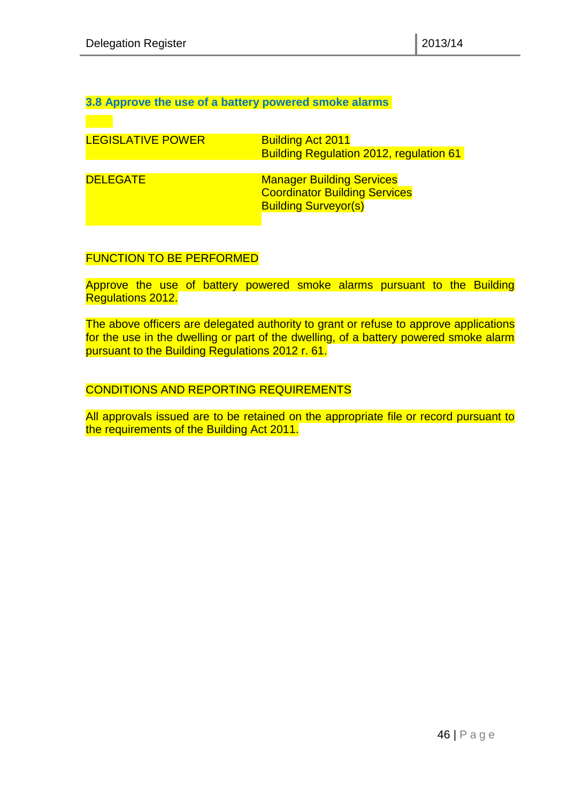<span id="page-45-0"></span>**3.8 Approve the use of a battery powered smoke alarms** 

| <b>LEGISLATIVE POWER</b> | <b>Building Act 2011</b><br><b>Building Regulation 2012, regulation 61</b>                              |
|--------------------------|---------------------------------------------------------------------------------------------------------|
| <b>DELEGATE</b>          | <b>Manager Building Services</b><br><b>Coordinator Building Services</b><br><b>Building Surveyor(s)</b> |

#### FUNCTION TO BE PERFORMED

Approve the use of battery powered smoke alarms pursuant to the Building Regulations 2012.

The above officers are delegated authority to grant or refuse to approve applications for the use in the dwelling or part of the dwelling, of a battery powered smoke alarm pursuant to the Building Regulations 2012 r. 61.

#### CONDITIONS AND REPORTING REQUIREMENTS

All approvals issued are to be retained on the appropriate file or record pursuant to the requirements of the Building Act 2011.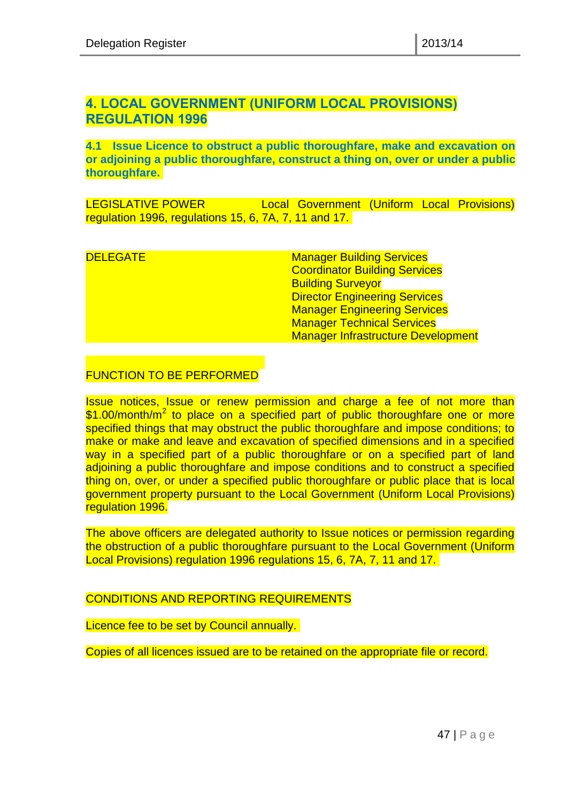# <span id="page-46-1"></span><span id="page-46-0"></span>**4. LOCAL GOVERNMENT (UNIFORM LOCAL PROVISIONS) REGULATION 1996**

<span id="page-46-2"></span>**4.1 Issue Licence to obstruct a public thoroughfare, make and excavation on or adjoining a public thoroughfare, construct a thing on, over or under a public thoroughfare.** 

LEGISLATIVE POWER Local Government (Uniform Local Provisions) regulation 1996, regulations 15, 6, 7A, 7, 11 and 17.

**DELEGATE** Manager Building Services Coordinator Building Services Building Surveyor Director Engineering Services Manager Engineering Services **Manager Technical Services** Manager Infrastructure Development

#### FUNCTION TO BE PERFORMED

Issue notices, Issue or renew permission and charge a fee of not more than \$1.00/month/m<sup>2</sup> to place on a specified part of public thoroughfare one or more specified things that may obstruct the public thoroughfare and impose conditions; to make or make and leave and excavation of specified dimensions and in a specified way in a specified part of a public thoroughfare or on a specified part of land adjoining a public thoroughfare and impose conditions and to construct a specified thing on, over, or under a specified public thoroughfare or public place that is local government property pursuant to the Local Government (Uniform Local Provisions) regulation 1996.

The above officers are delegated authority to Issue notices or permission regarding the obstruction of a public thoroughfare pursuant to the Local Government (Uniform Local Provisions) regulation 1996 regulations 15, 6, 7A, 7, 11 and 17.

#### CONDITIONS AND REPORTING REQUIREMENTS

Licence fee to be set by Council annually.

Copies of all licences issued are to be retained on the appropriate file or record.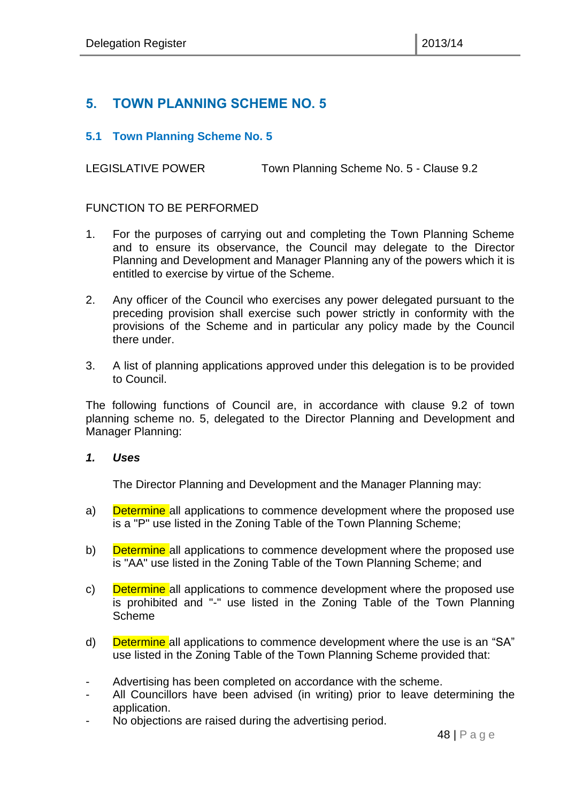# <span id="page-47-0"></span>**5. TOWN PLANNING SCHEME NO. 5**

#### <span id="page-47-1"></span>**5.1 Town Planning Scheme No. 5**

LEGISLATIVE POWER Town Planning Scheme No. 5 - Clause 9.2

#### FUNCTION TO BE PERFORMED

- 1. For the purposes of carrying out and completing the Town Planning Scheme and to ensure its observance, the Council may delegate to the Director Planning and Development and Manager Planning any of the powers which it is entitled to exercise by virtue of the Scheme.
- 2. Any officer of the Council who exercises any power delegated pursuant to the preceding provision shall exercise such power strictly in conformity with the provisions of the Scheme and in particular any policy made by the Council there under.
- 3. A list of planning applications approved under this delegation is to be provided to Council.

The following functions of Council are, in accordance with clause 9.2 of town planning scheme no. 5, delegated to the Director Planning and Development and Manager Planning:

#### *1. Uses*

The Director Planning and Development and the Manager Planning may:

- a) **Determine** all applications to commence development where the proposed use is a "P" use listed in the Zoning Table of the Town Planning Scheme;
- b) Determine all applications to commence development where the proposed use is "AA" use listed in the Zoning Table of the Town Planning Scheme; and
- c) Determine all applications to commence development where the proposed use is prohibited and "-" use listed in the Zoning Table of the Town Planning Scheme
- d) Determine all applications to commence development where the use is an "SA" use listed in the Zoning Table of the Town Planning Scheme provided that:
- Advertising has been completed on accordance with the scheme.
- All Councillors have been advised (in writing) prior to leave determining the application.
- No objections are raised during the advertising period.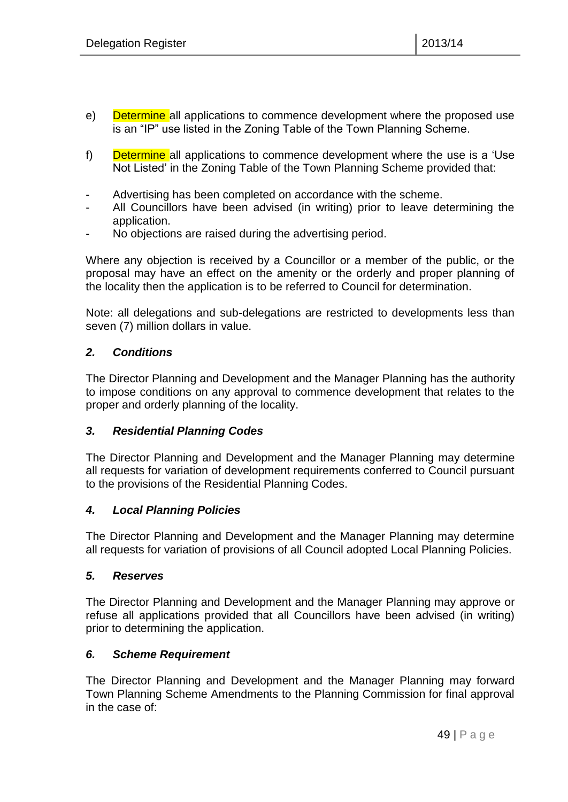- e) Determine all applications to commence development where the proposed use is an "IP" use listed in the Zoning Table of the Town Planning Scheme.
- f) Determine all applications to commence development where the use is a 'Use Not Listed' in the Zoning Table of the Town Planning Scheme provided that:
- Advertising has been completed on accordance with the scheme.
- All Councillors have been advised (in writing) prior to leave determining the application.
- No objections are raised during the advertising period.

Where any objection is received by a Councillor or a member of the public, or the proposal may have an effect on the amenity or the orderly and proper planning of the locality then the application is to be referred to Council for determination.

Note: all delegations and sub-delegations are restricted to developments less than seven (7) million dollars in value.

#### *2. Conditions*

The Director Planning and Development and the Manager Planning has the authority to impose conditions on any approval to commence development that relates to the proper and orderly planning of the locality.

#### *3. Residential Planning Codes*

The Director Planning and Development and the Manager Planning may determine all requests for variation of development requirements conferred to Council pursuant to the provisions of the Residential Planning Codes.

#### *4. Local Planning Policies*

The Director Planning and Development and the Manager Planning may determine all requests for variation of provisions of all Council adopted Local Planning Policies.

#### *5. Reserves*

The Director Planning and Development and the Manager Planning may approve or refuse all applications provided that all Councillors have been advised (in writing) prior to determining the application.

#### *6. Scheme Requirement*

The Director Planning and Development and the Manager Planning may forward Town Planning Scheme Amendments to the Planning Commission for final approval in the case of: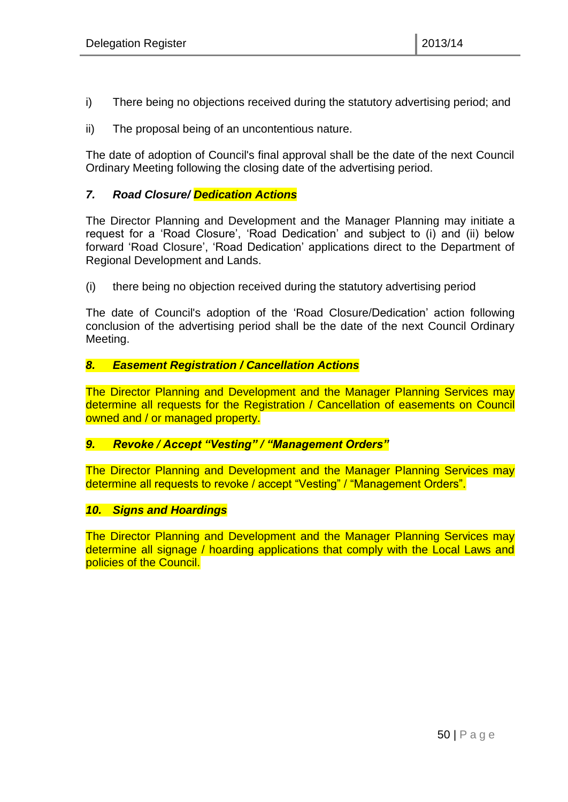- i) There being no objections received during the statutory advertising period; and
- ii) The proposal being of an uncontentious nature.

The date of adoption of Council's final approval shall be the date of the next Council Ordinary Meeting following the closing date of the advertising period.

#### *7. Road Closure/ Dedication Actions*

The Director Planning and Development and the Manager Planning may initiate a request for a 'Road Closure', 'Road Dedication' and subject to (i) and (ii) below forward 'Road Closure', 'Road Dedication' applications direct to the Department of Regional Development and Lands.

(i) there being no objection received during the statutory advertising period

The date of Council's adoption of the 'Road Closure/Dedication' action following conclusion of the advertising period shall be the date of the next Council Ordinary Meeting.

#### *8. Easement Registration / Cancellation Actions*

The Director Planning and Development and the Manager Planning Services may determine all requests for the Registration / Cancellation of easements on Council owned and / or managed property.

#### *9. Revoke / Accept "Vesting" / "Management Orders"*

The Director Planning and Development and the Manager Planning Services may determine all requests to revoke / accept "Vesting" / "Management Orders".

#### *10. Signs and Hoardings*

The Director Planning and Development and the Manager Planning Services may determine all signage / hoarding applications that comply with the Local Laws and policies of the Council.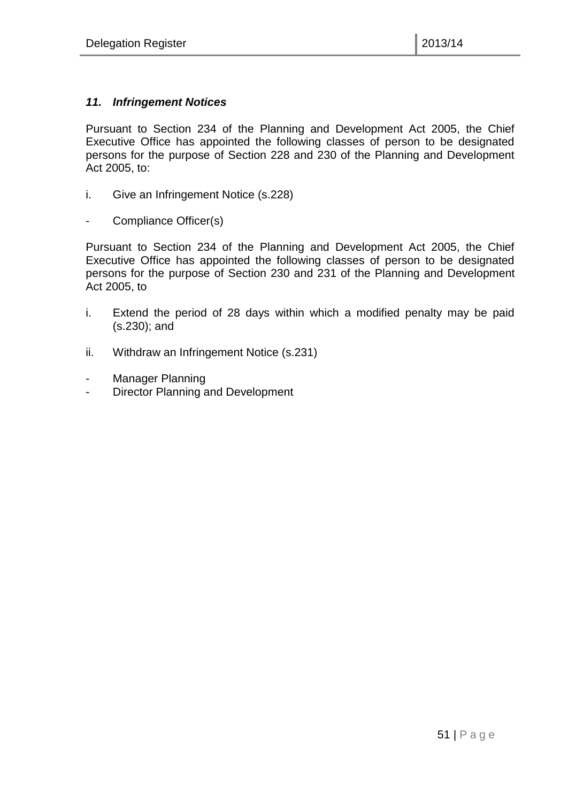#### *11. Infringement Notices*

Pursuant to Section 234 of the Planning and Development Act 2005, the Chief Executive Office has appointed the following classes of person to be designated persons for the purpose of Section 228 and 230 of the Planning and Development Act 2005, to:

- i. Give an Infringement Notice (s.228)
- Compliance Officer(s)

Pursuant to Section 234 of the Planning and Development Act 2005, the Chief Executive Office has appointed the following classes of person to be designated persons for the purpose of Section 230 and 231 of the Planning and Development Act 2005, to

- i. Extend the period of 28 days within which a modified penalty may be paid (s.230); and
- ii. Withdraw an Infringement Notice (s.231)
- Manager Planning
- Director Planning and Development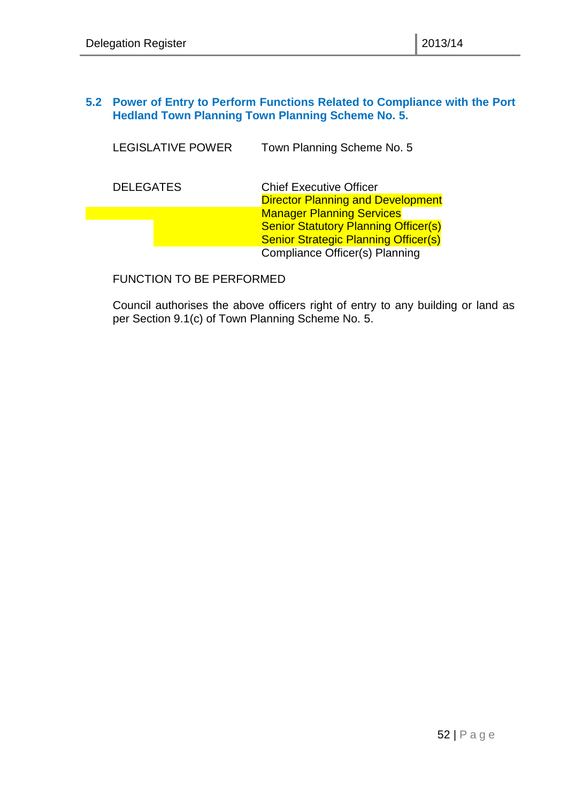#### <span id="page-51-0"></span>**5.2 Power of Entry to Perform Functions Related to Compliance with the Port Hedland Town Planning Town Planning Scheme No. 5.**

| <b>LEGISLATIVE POWER</b> | Town Planning Scheme No. 5                                                                                                     |
|--------------------------|--------------------------------------------------------------------------------------------------------------------------------|
| <b>DELEGATES</b>         | <b>Chief Executive Officer</b><br><b>Director Planning and Development</b>                                                     |
|                          | <b>Manager Planning Services</b><br><b>Senior Statutory Planning Officer(s)</b><br><b>Senior Strategic Planning Officer(s)</b> |
|                          | Compliance Officer(s) Planning                                                                                                 |

FUNCTION TO BE PERFORMED

Council authorises the above officers right of entry to any building or land as per Section 9.1(c) of Town Planning Scheme No. 5.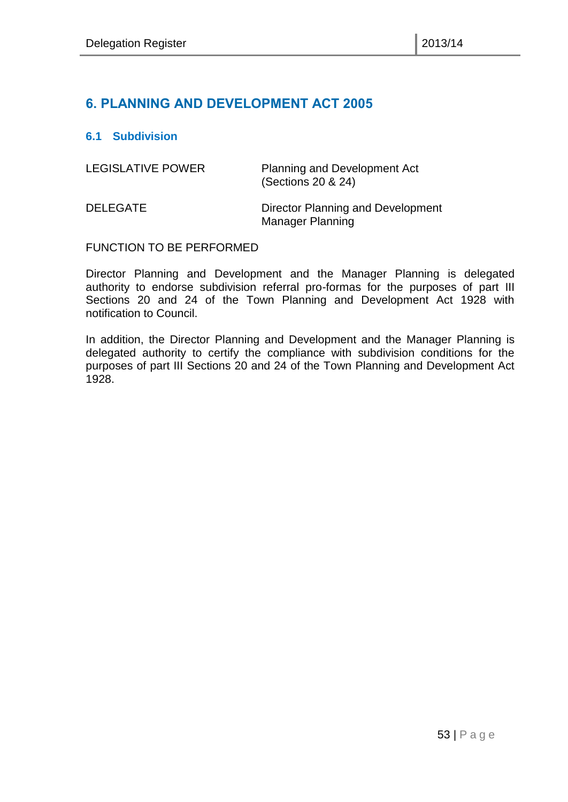# <span id="page-52-0"></span>**6. PLANNING AND DEVELOPMENT ACT 2005**

#### <span id="page-52-1"></span>**6.1 Subdivision**

| <b>LEGISLATIVE POWER</b> | <b>Planning and Development Act</b><br>(Sections 20 & 24)    |
|--------------------------|--------------------------------------------------------------|
| <b>DELEGATE</b>          | Director Planning and Development<br><b>Manager Planning</b> |

#### FUNCTION TO BE PERFORMED

Director Planning and Development and the Manager Planning is delegated authority to endorse subdivision referral pro-formas for the purposes of part III Sections 20 and 24 of the Town Planning and Development Act 1928 with notification to Council.

In addition, the Director Planning and Development and the Manager Planning is delegated authority to certify the compliance with subdivision conditions for the purposes of part III Sections 20 and 24 of the Town Planning and Development Act 1928.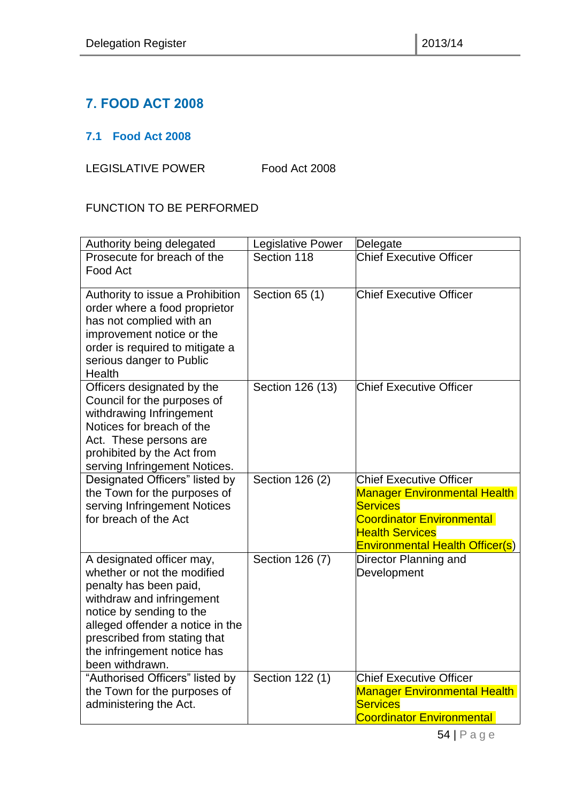# <span id="page-53-0"></span>**7. FOOD ACT 2008**

# <span id="page-53-1"></span>**7.1 Food Act 2008**

LEGISLATIVE POWER Food Act 2008

# FUNCTION TO BE PERFORMED

| Authority being delegated                                                                                                                                                                                                                                         | Legislative Power | Delegate                                                                                                                                                                                  |
|-------------------------------------------------------------------------------------------------------------------------------------------------------------------------------------------------------------------------------------------------------------------|-------------------|-------------------------------------------------------------------------------------------------------------------------------------------------------------------------------------------|
| Prosecute for breach of the<br>Food Act                                                                                                                                                                                                                           | Section 118       | <b>Chief Executive Officer</b>                                                                                                                                                            |
| Authority to issue a Prohibition<br>order where a food proprietor<br>has not complied with an<br>improvement notice or the<br>order is required to mitigate a<br>serious danger to Public<br>Health                                                               | Section 65 (1)    | <b>Chief Executive Officer</b>                                                                                                                                                            |
| Officers designated by the<br>Council for the purposes of<br>withdrawing Infringement<br>Notices for breach of the<br>Act. These persons are<br>prohibited by the Act from<br>serving Infringement Notices.                                                       | Section 126 (13)  | <b>Chief Executive Officer</b>                                                                                                                                                            |
| Designated Officers" listed by<br>the Town for the purposes of<br>serving Infringement Notices<br>for breach of the Act                                                                                                                                           | Section 126 (2)   | <b>Chief Executive Officer</b><br><b>Manager Environmental Health</b><br><b>Services</b><br><b>Coordinator Environmental</b><br><b>Health Services</b><br>Environmental Health Officer(s) |
| A designated officer may,<br>whether or not the modified<br>penalty has been paid,<br>withdraw and infringement<br>notice by sending to the<br>alleged offender a notice in the<br>prescribed from stating that<br>the infringement notice has<br>been withdrawn. | Section 126 (7)   | Director Planning and<br>Development                                                                                                                                                      |
| "Authorised Officers" listed by<br>the Town for the purposes of<br>administering the Act.                                                                                                                                                                         | Section 122 (1)   | <b>Chief Executive Officer</b><br><b>Manager Environmental Health</b><br><b>Services</b><br><b>Coordinator Environmental</b>                                                              |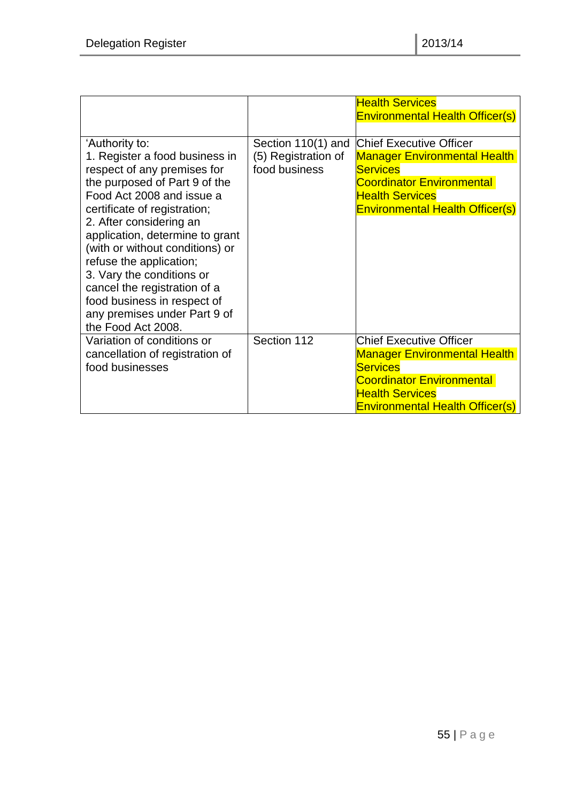|                                                                                                                                                                                                                                                                                                                                                                                                                                                             |                                                            | <b>Health Services</b><br><b>Environmental Health Officer(s)</b>                                                                                                                                 |
|-------------------------------------------------------------------------------------------------------------------------------------------------------------------------------------------------------------------------------------------------------------------------------------------------------------------------------------------------------------------------------------------------------------------------------------------------------------|------------------------------------------------------------|--------------------------------------------------------------------------------------------------------------------------------------------------------------------------------------------------|
| 'Authority to:<br>1. Register a food business in<br>respect of any premises for<br>the purposed of Part 9 of the<br>Food Act 2008 and issue a<br>certificate of registration;<br>2. After considering an<br>application, determine to grant<br>(with or without conditions) or<br>refuse the application;<br>3. Vary the conditions or<br>cancel the registration of a<br>food business in respect of<br>any premises under Part 9 of<br>the Food Act 2008. | Section 110(1) and<br>(5) Registration of<br>food business | <b>Chief Executive Officer</b><br><b>Manager Environmental Health</b><br><b>Services</b><br><b>Coordinator Environmental</b><br><b>Health Services</b><br><b>Environmental Health Officer(s)</b> |
| Variation of conditions or<br>cancellation of registration of<br>food businesses                                                                                                                                                                                                                                                                                                                                                                            | Section 112                                                | <b>Chief Executive Officer</b><br><b>Manager Environmental Health</b><br><b>Services</b><br><b>Coordinator Environmental</b><br><b>Health Services</b><br><b>Environmental Health Officer(s)</b> |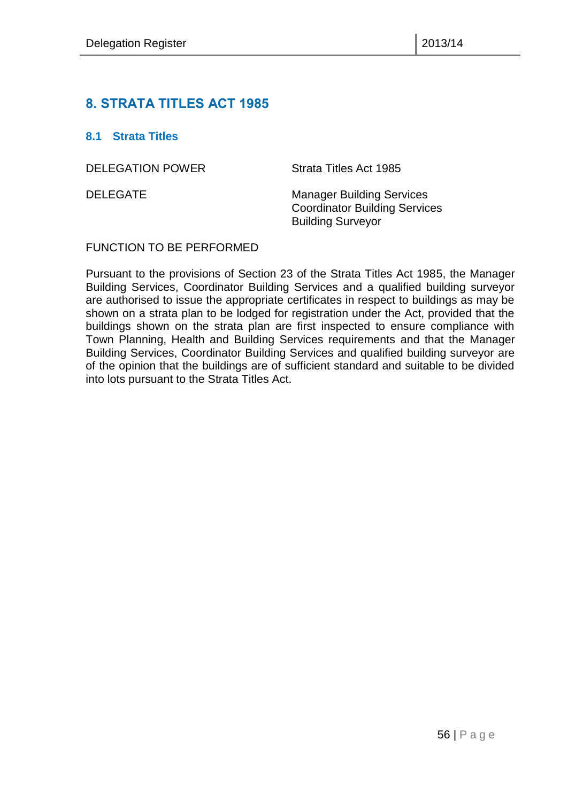# <span id="page-55-0"></span>**8. STRATA TITLES ACT 1985**

#### <span id="page-55-1"></span>**8.1 Strata Titles**

DELEGATION POWER Strata Titles Act 1985

DELEGATE Manager Building Services Coordinator Building Services Building Surveyor

#### FUNCTION TO BE PERFORMED

Pursuant to the provisions of Section 23 of the Strata Titles Act 1985, the Manager Building Services, Coordinator Building Services and a qualified building surveyor are authorised to issue the appropriate certificates in respect to buildings as may be shown on a strata plan to be lodged for registration under the Act, provided that the buildings shown on the strata plan are first inspected to ensure compliance with Town Planning, Health and Building Services requirements and that the Manager Building Services, Coordinator Building Services and qualified building surveyor are of the opinion that the buildings are of sufficient standard and suitable to be divided into lots pursuant to the Strata Titles Act.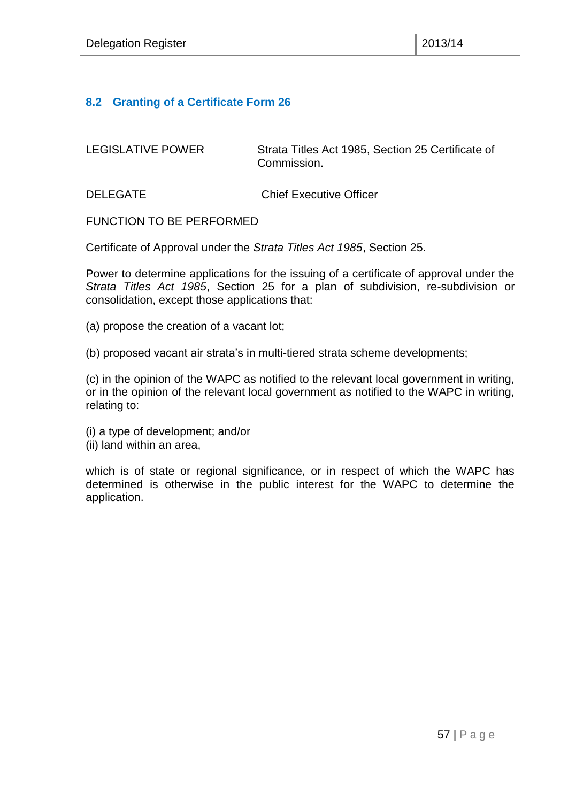#### <span id="page-56-0"></span>**8.2 Granting of a Certificate Form 26**

LEGISLATIVE POWER Strata Titles Act 1985, Section 25 Certificate of Commission.

DELEGATE Chief Executive Officer

FUNCTION TO BE PERFORMED

Certificate of Approval under the *Strata Titles Act 1985*, Section 25.

Power to determine applications for the issuing of a certificate of approval under the *Strata Titles Act 1985*, Section 25 for a plan of subdivision, re-subdivision or consolidation, except those applications that:

(a) propose the creation of a vacant lot;

(b) proposed vacant air strata's in multi-tiered strata scheme developments;

(c) in the opinion of the WAPC as notified to the relevant local government in writing, or in the opinion of the relevant local government as notified to the WAPC in writing, relating to:

- (i) a type of development; and/or
- (ii) land within an area,

which is of state or regional significance, or in respect of which the WAPC has determined is otherwise in the public interest for the WAPC to determine the application.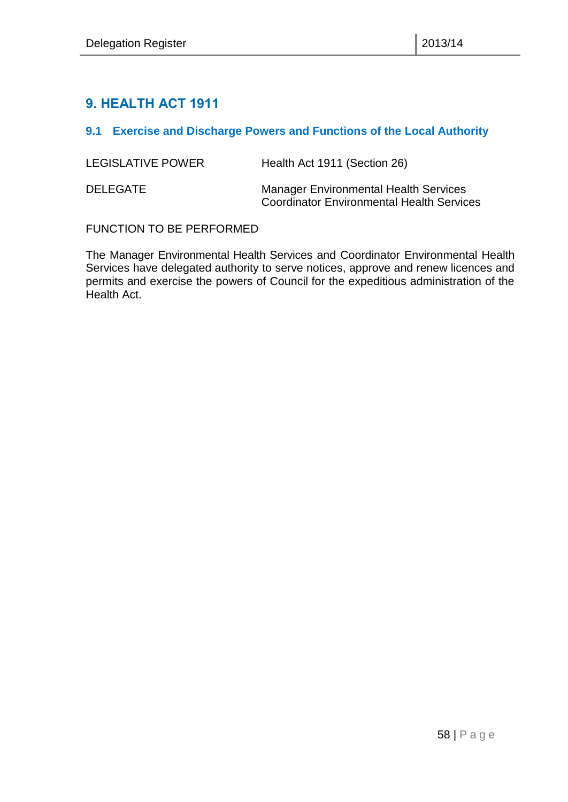# <span id="page-57-0"></span>**9. HEALTH ACT 1911**

#### <span id="page-57-1"></span>**9.1 Exercise and Discharge Powers and Functions of the Local Authority**

| LEGISLATIVE POWER | Health Act 1911 (Section 26)                                                                     |
|-------------------|--------------------------------------------------------------------------------------------------|
| <b>DELEGATE</b>   | <b>Manager Environmental Health Services</b><br><b>Coordinator Environmental Health Services</b> |

FUNCTION TO BE PERFORMED

The Manager Environmental Health Services and Coordinator Environmental Health Services have delegated authority to serve notices, approve and renew licences and permits and exercise the powers of Council for the expeditious administration of the Health Act.